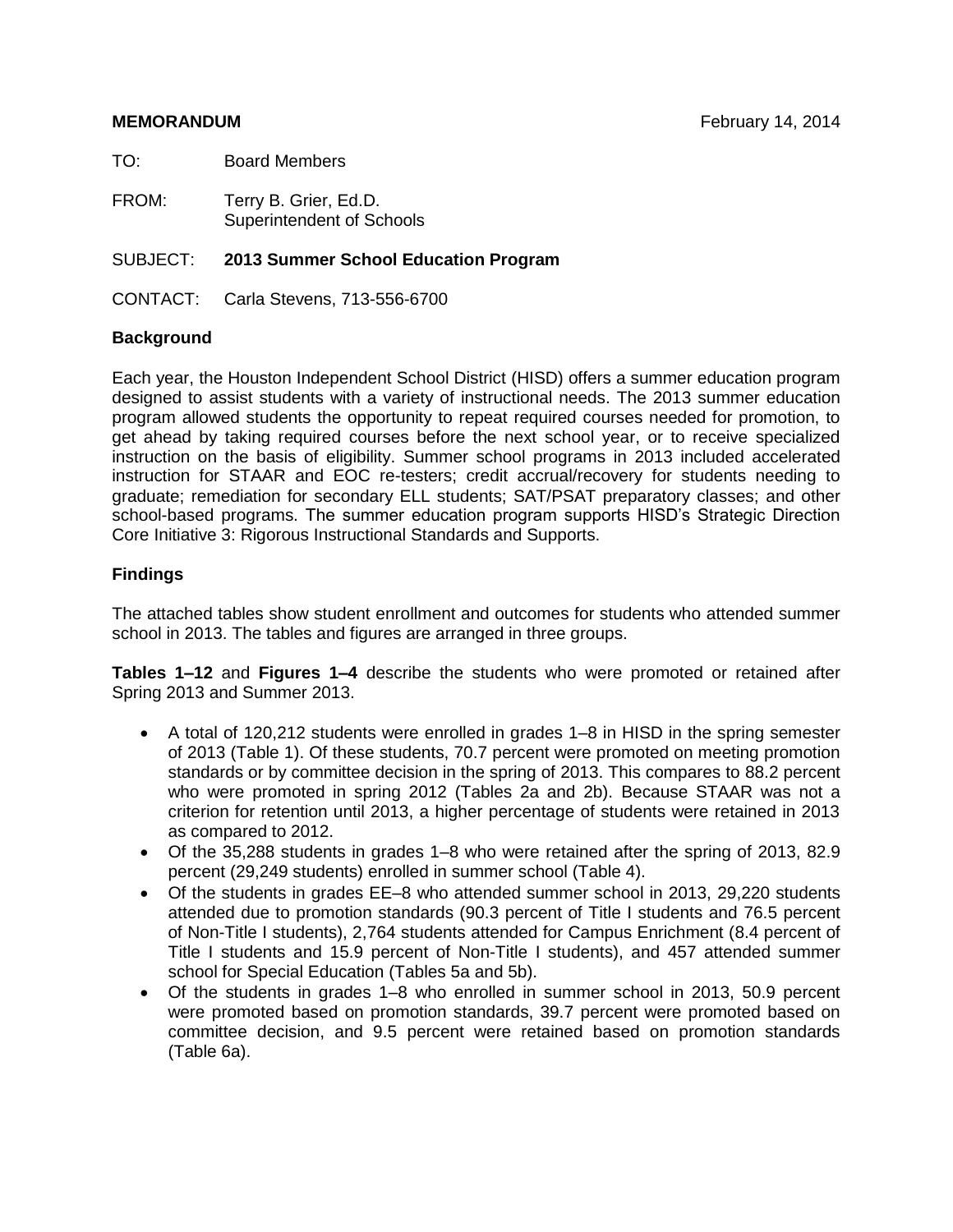### **MEMORANDUM February 14, 2014**

TO: Board Members

FROM: Terry B. Grier, Ed.D. Superintendent of Schools

SUBJECT: **2013 Summer School Education Program**

CONTACT: Carla Stevens, 713-556-6700

## **Background**

Each year, the Houston Independent School District (HISD) offers a summer education program designed to assist students with a variety of instructional needs. The 2013 summer education program allowed students the opportunity to repeat required courses needed for promotion, to get ahead by taking required courses before the next school year, or to receive specialized instruction on the basis of eligibility. Summer school programs in 2013 included accelerated instruction for STAAR and EOC re-testers; credit accrual/recovery for students needing to graduate; remediation for secondary ELL students; SAT/PSAT preparatory classes; and other school-based programs. The summer education program supports HISD's Strategic Direction Core Initiative 3: Rigorous Instructional Standards and Supports.

# **Findings**

The attached tables show student enrollment and outcomes for students who attended summer school in 2013. The tables and figures are arranged in three groups.

**Tables 1–12** and **Figures 1–4** describe the students who were promoted or retained after Spring 2013 and Summer 2013.

- A total of 120,212 students were enrolled in grades 1–8 in HISD in the spring semester of 2013 (Table 1). Of these students, 70.7 percent were promoted on meeting promotion standards or by committee decision in the spring of 2013. This compares to 88.2 percent who were promoted in spring 2012 (Tables 2a and 2b). Because STAAR was not a criterion for retention until 2013, a higher percentage of students were retained in 2013 as compared to 2012.
- Of the 35,288 students in grades 1–8 who were retained after the spring of 2013, 82.9 percent (29,249 students) enrolled in summer school (Table 4).
- Of the students in grades EE–8 who attended summer school in 2013, 29,220 students attended due to promotion standards (90.3 percent of Title I students and 76.5 percent of Non-Title I students), 2,764 students attended for Campus Enrichment (8.4 percent of Title I students and 15.9 percent of Non-Title I students), and 457 attended summer school for Special Education (Tables 5a and 5b).
- Of the students in grades 1–8 who enrolled in summer school in 2013, 50.9 percent were promoted based on promotion standards, 39.7 percent were promoted based on committee decision, and 9.5 percent were retained based on promotion standards (Table 6a).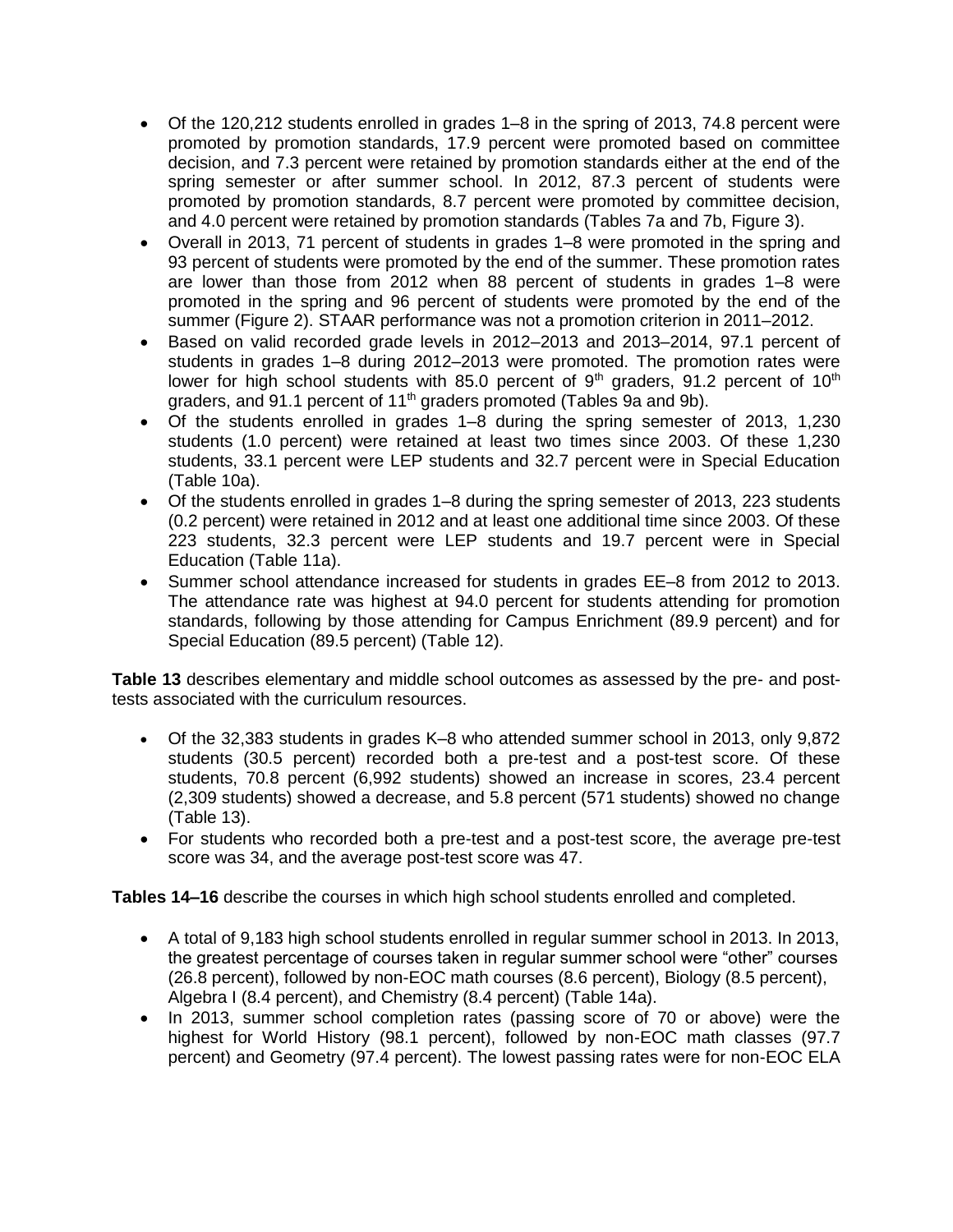- Of the 120,212 students enrolled in grades 1–8 in the spring of 2013, 74.8 percent were promoted by promotion standards, 17.9 percent were promoted based on committee decision, and 7.3 percent were retained by promotion standards either at the end of the spring semester or after summer school. In 2012, 87.3 percent of students were promoted by promotion standards, 8.7 percent were promoted by committee decision, and 4.0 percent were retained by promotion standards (Tables 7a and 7b, Figure 3).
- Overall in 2013, 71 percent of students in grades 1–8 were promoted in the spring and 93 percent of students were promoted by the end of the summer. These promotion rates are lower than those from 2012 when 88 percent of students in grades 1–8 were promoted in the spring and 96 percent of students were promoted by the end of the summer (Figure 2). STAAR performance was not a promotion criterion in 2011–2012.
- Based on valid recorded grade levels in 2012–2013 and 2013–2014, 97.1 percent of students in grades 1–8 during 2012–2013 were promoted. The promotion rates were lower for high school students with 85.0 percent of  $9<sup>th</sup>$  graders, 91.2 percent of 10<sup>th</sup> graders, and 91.1 percent of 11<sup>th</sup> graders promoted (Tables 9a and 9b).
- Of the students enrolled in grades 1–8 during the spring semester of 2013, 1,230 students (1.0 percent) were retained at least two times since 2003. Of these 1,230 students, 33.1 percent were LEP students and 32.7 percent were in Special Education (Table 10a).
- Of the students enrolled in grades 1–8 during the spring semester of 2013, 223 students (0.2 percent) were retained in 2012 and at least one additional time since 2003. Of these 223 students, 32.3 percent were LEP students and 19.7 percent were in Special Education (Table 11a).
- Summer school attendance increased for students in grades EE–8 from 2012 to 2013. The attendance rate was highest at 94.0 percent for students attending for promotion standards, following by those attending for Campus Enrichment (89.9 percent) and for Special Education (89.5 percent) (Table 12).

**Table 13** describes elementary and middle school outcomes as assessed by the pre- and posttests associated with the curriculum resources.

- Of the 32,383 students in grades K–8 who attended summer school in 2013, only 9,872 students (30.5 percent) recorded both a pre-test and a post-test score. Of these students, 70.8 percent (6,992 students) showed an increase in scores, 23.4 percent (2,309 students) showed a decrease, and 5.8 percent (571 students) showed no change (Table 13).
- For students who recorded both a pre-test and a post-test score, the average pre-test score was 34, and the average post-test score was 47.

**Tables 14–16** describe the courses in which high school students enrolled and completed.

- A total of 9,183 high school students enrolled in regular summer school in 2013. In 2013, the greatest percentage of courses taken in regular summer school were "other" courses (26.8 percent), followed by non-EOC math courses (8.6 percent), Biology (8.5 percent), Algebra I (8.4 percent), and Chemistry (8.4 percent) (Table 14a).
- In 2013, summer school completion rates (passing score of 70 or above) were the highest for World History (98.1 percent), followed by non-EOC math classes (97.7 percent) and Geometry (97.4 percent). The lowest passing rates were for non-EOC ELA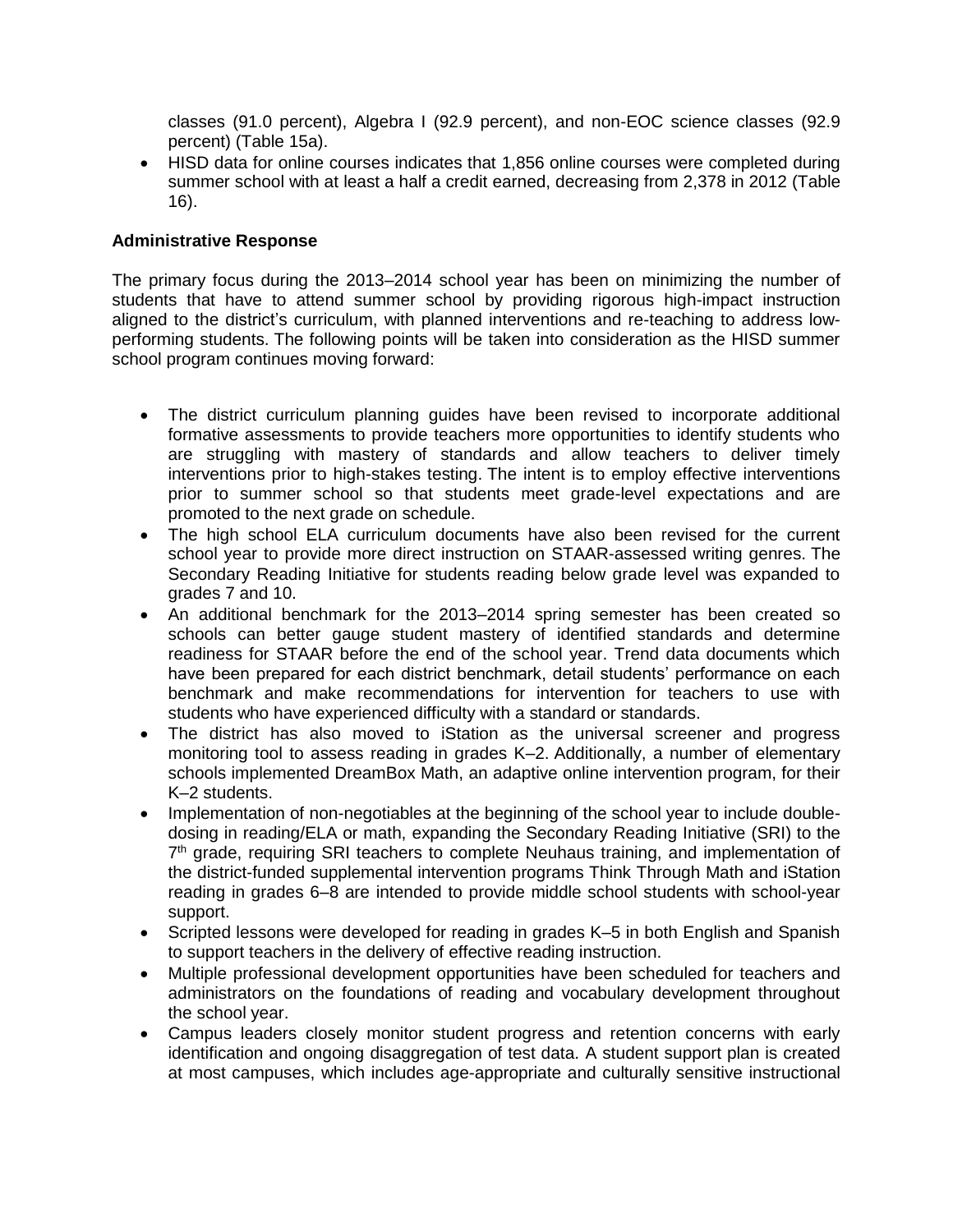classes (91.0 percent), Algebra I (92.9 percent), and non-EOC science classes (92.9 percent) (Table 15a).

• HISD data for online courses indicates that 1,856 online courses were completed during summer school with at least a half a credit earned, decreasing from 2,378 in 2012 (Table 16).

# **Administrative Response**

The primary focus during the 2013–2014 school year has been on minimizing the number of students that have to attend summer school by providing rigorous high-impact instruction aligned to the district's curriculum, with planned interventions and re-teaching to address lowperforming students. The following points will be taken into consideration as the HISD summer school program continues moving forward:

- The district curriculum planning guides have been revised to incorporate additional formative assessments to provide teachers more opportunities to identify students who are struggling with mastery of standards and allow teachers to deliver timely interventions prior to high-stakes testing. The intent is to employ effective interventions prior to summer school so that students meet grade-level expectations and are promoted to the next grade on schedule.
- The high school ELA curriculum documents have also been revised for the current school year to provide more direct instruction on STAAR-assessed writing genres. The Secondary Reading Initiative for students reading below grade level was expanded to grades 7 and 10.
- An additional benchmark for the 2013–2014 spring semester has been created so schools can better gauge student mastery of identified standards and determine readiness for STAAR before the end of the school year. Trend data documents which have been prepared for each district benchmark, detail students' performance on each benchmark and make recommendations for intervention for teachers to use with students who have experienced difficulty with a standard or standards.
- The district has also moved to iStation as the universal screener and progress monitoring tool to assess reading in grades K–2. Additionally, a number of elementary schools implemented DreamBox Math, an adaptive online intervention program, for their K–2 students.
- Implementation of non-negotiables at the beginning of the school year to include doubledosing in reading/ELA or math, expanding the Secondary Reading Initiative (SRI) to the 7<sup>th</sup> grade, requiring SRI teachers to complete Neuhaus training, and implementation of the district-funded supplemental intervention programs Think Through Math and iStation reading in grades 6–8 are intended to provide middle school students with school-year support.
- Scripted lessons were developed for reading in grades K–5 in both English and Spanish to support teachers in the delivery of effective reading instruction.
- Multiple professional development opportunities have been scheduled for teachers and administrators on the foundations of reading and vocabulary development throughout the school year.
- Campus leaders closely monitor student progress and retention concerns with early identification and ongoing disaggregation of test data. A student support plan is created at most campuses, which includes age-appropriate and culturally sensitive instructional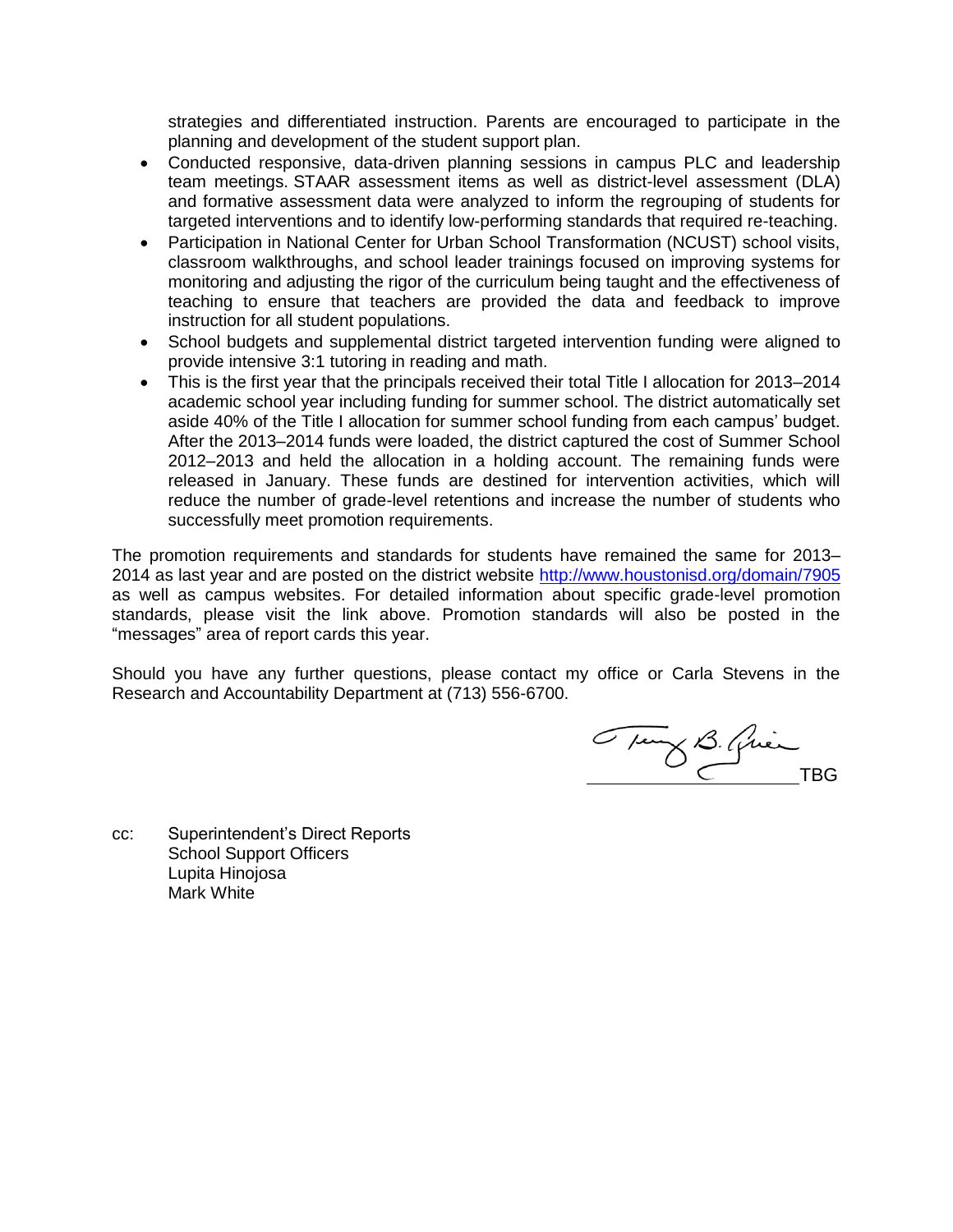strategies and differentiated instruction. Parents are encouraged to participate in the planning and development of the student support plan.

- Conducted responsive, data-driven planning sessions in campus PLC and leadership team meetings. STAAR assessment items as well as district-level assessment (DLA) and formative assessment data were analyzed to inform the regrouping of students for targeted interventions and to identify low-performing standards that required re-teaching.
- Participation in National Center for Urban School Transformation (NCUST) school visits, classroom walkthroughs, and school leader trainings focused on improving systems for monitoring and adjusting the rigor of the curriculum being taught and the effectiveness of teaching to ensure that teachers are provided the data and feedback to improve instruction for all student populations.
- School budgets and supplemental district targeted intervention funding were aligned to provide intensive 3:1 tutoring in reading and math.
- This is the first year that the principals received their total Title I allocation for 2013–2014 academic school year including funding for summer school. The district automatically set aside 40% of the Title I allocation for summer school funding from each campus' budget. After the 2013–2014 funds were loaded, the district captured the cost of Summer School 2012–2013 and held the allocation in a holding account. The remaining funds were released in January. These funds are destined for intervention activities, which will reduce the number of grade-level retentions and increase the number of students who successfully meet promotion requirements.

The promotion requirements and standards for students have remained the same for 2013– 2014 as last year and are posted on the district website<http://www.houstonisd.org/domain/7905> as well as campus websites. For detailed information about specific grade-level promotion standards, please visit the link above. Promotion standards will also be posted in the "messages" area of report cards this year.

Should you have any further questions, please contact my office or Carla Stevens in the Research and Accountability Department at (713) 556-6700.

Tung B. Quin

cc: Superintendent's Direct Reports School Support Officers Lupita Hinojosa Mark White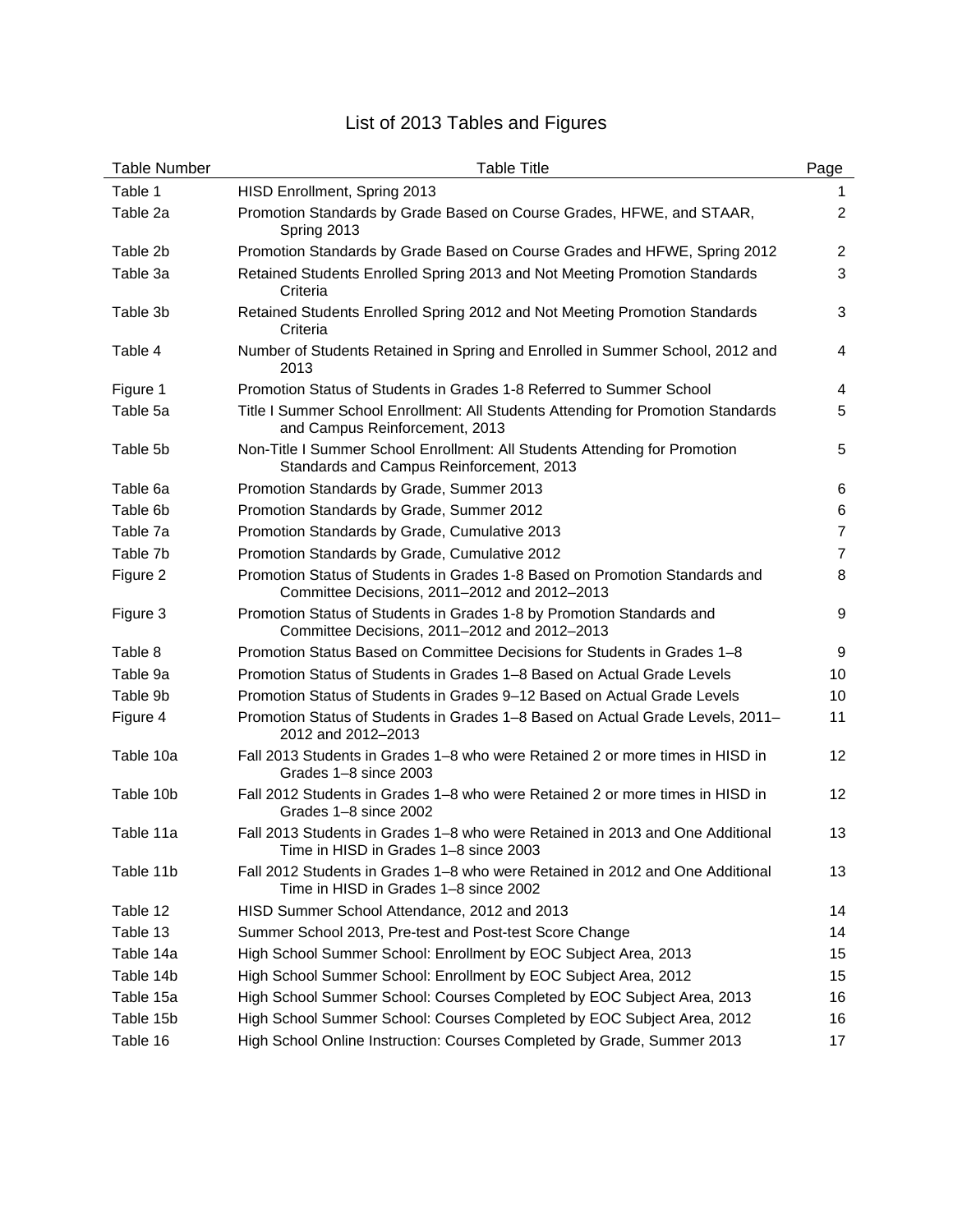# List of 2013 Tables and Figures

| <b>Table Number</b> | <b>Table Title</b>                                                                                                          | Page              |
|---------------------|-----------------------------------------------------------------------------------------------------------------------------|-------------------|
| Table 1             | HISD Enrollment, Spring 2013                                                                                                | 1                 |
| Table 2a            | Promotion Standards by Grade Based on Course Grades, HFWE, and STAAR,<br>Spring 2013                                        | $\overline{2}$    |
| Table 2b            | Promotion Standards by Grade Based on Course Grades and HFWE, Spring 2012                                                   | $\overline{2}$    |
| Table 3a            | Retained Students Enrolled Spring 2013 and Not Meeting Promotion Standards<br>Criteria                                      | 3                 |
| Table 3b            | Retained Students Enrolled Spring 2012 and Not Meeting Promotion Standards<br>Criteria                                      | 3                 |
| Table 4             | Number of Students Retained in Spring and Enrolled in Summer School, 2012 and<br>2013                                       | 4                 |
| Figure 1            | Promotion Status of Students in Grades 1-8 Referred to Summer School                                                        | 4                 |
| Table 5a            | Title I Summer School Enrollment: All Students Attending for Promotion Standards<br>and Campus Reinforcement, 2013          | 5                 |
| Table 5b            | Non-Title I Summer School Enrollment: All Students Attending for Promotion<br>Standards and Campus Reinforcement, 2013      | 5                 |
| Table 6a            | Promotion Standards by Grade, Summer 2013                                                                                   | 6                 |
| Table 6b            | Promotion Standards by Grade, Summer 2012                                                                                   | 6                 |
| Table 7a            | Promotion Standards by Grade, Cumulative 2013                                                                               | $\overline{7}$    |
| Table 7b            | Promotion Standards by Grade, Cumulative 2012                                                                               | $\overline{7}$    |
| Figure 2            | Promotion Status of Students in Grades 1-8 Based on Promotion Standards and<br>Committee Decisions, 2011-2012 and 2012-2013 | 8                 |
| Figure 3            | Promotion Status of Students in Grades 1-8 by Promotion Standards and<br>Committee Decisions, 2011-2012 and 2012-2013       | 9                 |
| Table 8             | Promotion Status Based on Committee Decisions for Students in Grades 1-8                                                    | 9                 |
| Table 9a            | Promotion Status of Students in Grades 1–8 Based on Actual Grade Levels                                                     | 10                |
| Table 9b            | Promotion Status of Students in Grades 9-12 Based on Actual Grade Levels                                                    | 10                |
| Figure 4            | Promotion Status of Students in Grades 1–8 Based on Actual Grade Levels, 2011–<br>2012 and 2012-2013                        | 11                |
| Table 10a           | Fall 2013 Students in Grades 1-8 who were Retained 2 or more times in HISD in<br>Grades 1-8 since 2003                      | 12                |
| Table 10b           | Fall 2012 Students in Grades 1–8 who were Retained 2 or more times in HISD in<br>Grades 1-8 since 2002                      | $12 \overline{ }$ |
| Table 11a           | Fall 2013 Students in Grades 1-8 who were Retained in 2013 and One Additional<br>Time in HISD in Grades 1-8 since 2003      | 13                |
| Table 11b           | Fall 2012 Students in Grades 1–8 who were Retained in 2012 and One Additional<br>Time in HISD in Grades 1-8 since 2002      | 13                |
| Table 12            | HISD Summer School Attendance, 2012 and 2013                                                                                | 14                |
| Table 13            | Summer School 2013, Pre-test and Post-test Score Change                                                                     | 14                |
| Table 14a           | High School Summer School: Enrollment by EOC Subject Area, 2013                                                             | 15                |
| Table 14b           | High School Summer School: Enrollment by EOC Subject Area, 2012                                                             | 15                |
| Table 15a           | High School Summer School: Courses Completed by EOC Subject Area, 2013                                                      | 16                |
| Table 15b           | High School Summer School: Courses Completed by EOC Subject Area, 2012                                                      | 16                |
| Table 16            | High School Online Instruction: Courses Completed by Grade, Summer 2013                                                     | 17                |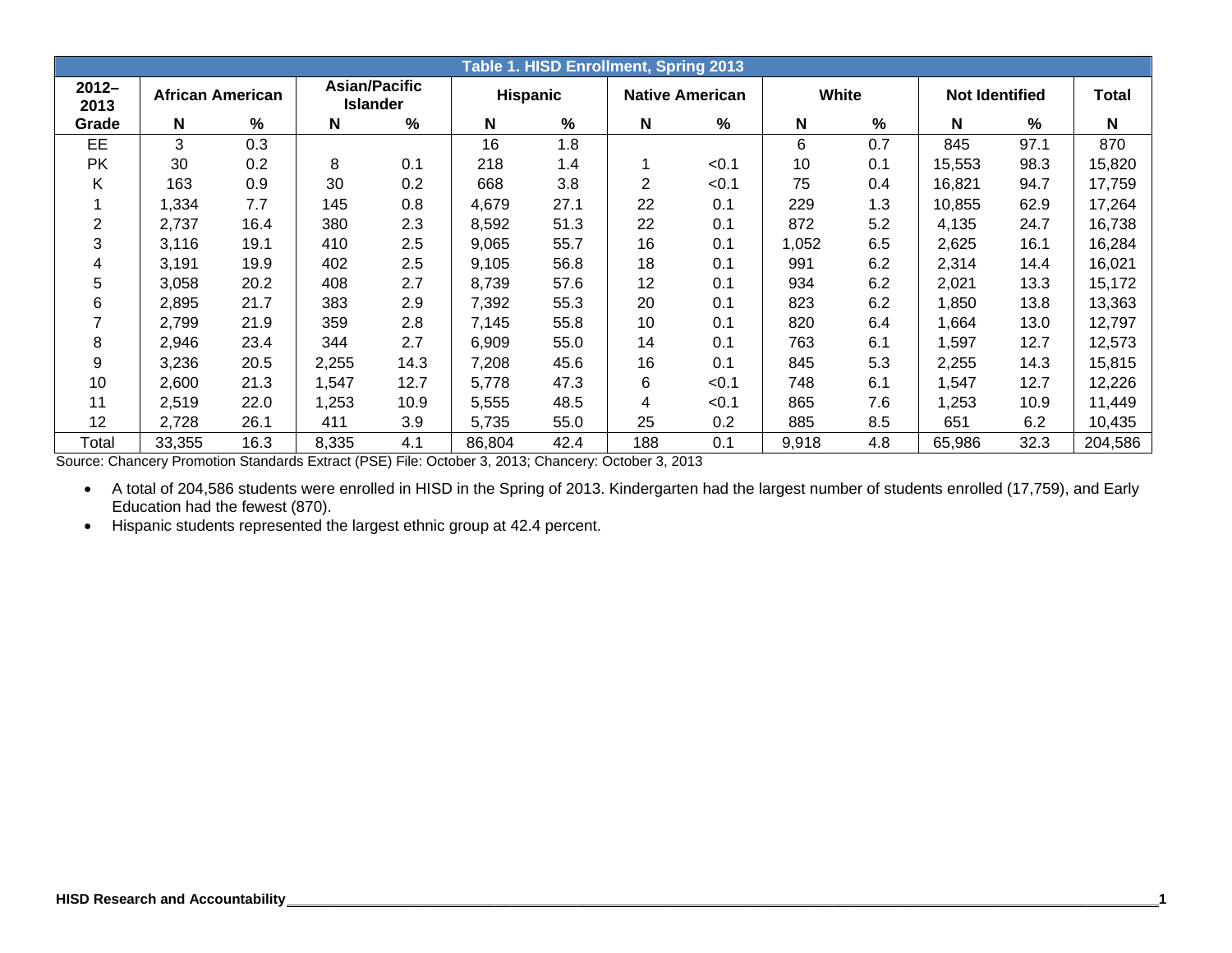|                  |                         |      |       |                                         |                 |      | Table 1. HISD Enrollment, Spring 2013 |                        |       |      |                       |               |              |
|------------------|-------------------------|------|-------|-----------------------------------------|-----------------|------|---------------------------------------|------------------------|-------|------|-----------------------|---------------|--------------|
| $2012 -$<br>2013 | <b>African American</b> |      |       | <b>Asian/Pacific</b><br><b>Islander</b> | <b>Hispanic</b> |      |                                       | <b>Native American</b> | White |      | <b>Not Identified</b> |               | <b>Total</b> |
| Grade            | N                       | %    | N     | %                                       | N               | %    | N                                     | $\frac{9}{6}$          | N     | $\%$ | N                     | $\frac{9}{6}$ | $\mathbf N$  |
| EE               | 3                       | 0.3  |       |                                         | 16              | 1.8  |                                       |                        | 6     | 0.7  | 845                   | 97.1          | 870          |
| <b>PK</b>        | 30                      | 0.2  | 8     | 0.1                                     | 218             | 1.4  |                                       | < 0.1                  | 10    | 0.1  | 15,553                | 98.3          | 15,820       |
| Κ                | 163                     | 0.9  | 30    | 0.2                                     | 668             | 3.8  | 2                                     | < 0.1                  | 75    | 0.4  | 16,821                | 94.7          | 17,759       |
|                  | 1,334                   | 7.7  | 145   | 0.8                                     | 4,679           | 27.1 | 22                                    | 0.1                    | 229   | 1.3  | 10,855                | 62.9          | 17,264       |
| 2                | 2,737                   | 16.4 | 380   | 2.3                                     | 8,592           | 51.3 | 22                                    | 0.1                    | 872   | 5.2  | 4,135                 | 24.7          | 16,738       |
| 3                | 3,116                   | 19.1 | 410   | 2.5                                     | 9,065           | 55.7 | 16                                    | 0.1                    | 1,052 | 6.5  | 2,625                 | 16.1          | 16,284       |
| 4                | 3,191                   | 19.9 | 402   | 2.5                                     | 9,105           | 56.8 | 18                                    | 0.1                    | 991   | 6.2  | 2,314                 | 14.4          | 16,021       |
| 5                | 3,058                   | 20.2 | 408   | 2.7                                     | 8,739           | 57.6 | 12                                    | 0.1                    | 934   | 6.2  | 2,021                 | 13.3          | 15,172       |
| 6                | 2,895                   | 21.7 | 383   | 2.9                                     | 7,392           | 55.3 | 20                                    | 0.1                    | 823   | 6.2  | 1,850                 | 13.8          | 13,363       |
|                  | 2,799                   | 21.9 | 359   | 2.8                                     | 7,145           | 55.8 | 10                                    | 0.1                    | 820   | 6.4  | ,664                  | 13.0          | 12,797       |
| 8                | 2,946                   | 23.4 | 344   | 2.7                                     | 6,909           | 55.0 | 14                                    | 0.1                    | 763   | 6.1  | 1,597                 | 12.7          | 12,573       |
| 9                | 3,236                   | 20.5 | 2,255 | 14.3                                    | 7,208           | 45.6 | 16                                    | 0.1                    | 845   | 5.3  | 2,255                 | 14.3          | 15,815       |
| 10               | 2,600                   | 21.3 | 1,547 | 12.7                                    | 5,778           | 47.3 | 6                                     | < 0.1                  | 748   | 6.1  | 1,547                 | 12.7          | 12,226       |
| 11               | 2,519                   | 22.0 | 1,253 | 10.9                                    | 5,555           | 48.5 | 4                                     | < 0.1                  | 865   | 7.6  | 1,253                 | 10.9          | 11,449       |
| 12               | 2,728                   | 26.1 | 411   | 3.9                                     | 5,735           | 55.0 | 25                                    | 0.2                    | 885   | 8.5  | 651                   | 6.2           | 10,435       |
| Total            | 33,355                  | 16.3 | 8,335 | 4.1                                     | 86,804          | 42.4 | 188                                   | 0.1                    | 9,918 | 4.8  | 65,986                | 32.3          | 204,586      |

Source: Chancery Promotion Standards Extract (PSE) File: October 3, 2013; Chancery: October 3, 2013

 A total of 204,586 students were enrolled in HISD in the Spring of 2013. Kindergarten had the largest number of students enrolled (17,759), and Early Education had the fewest (870).

Hispanic students represented the largest ethnic group at 42.4 percent.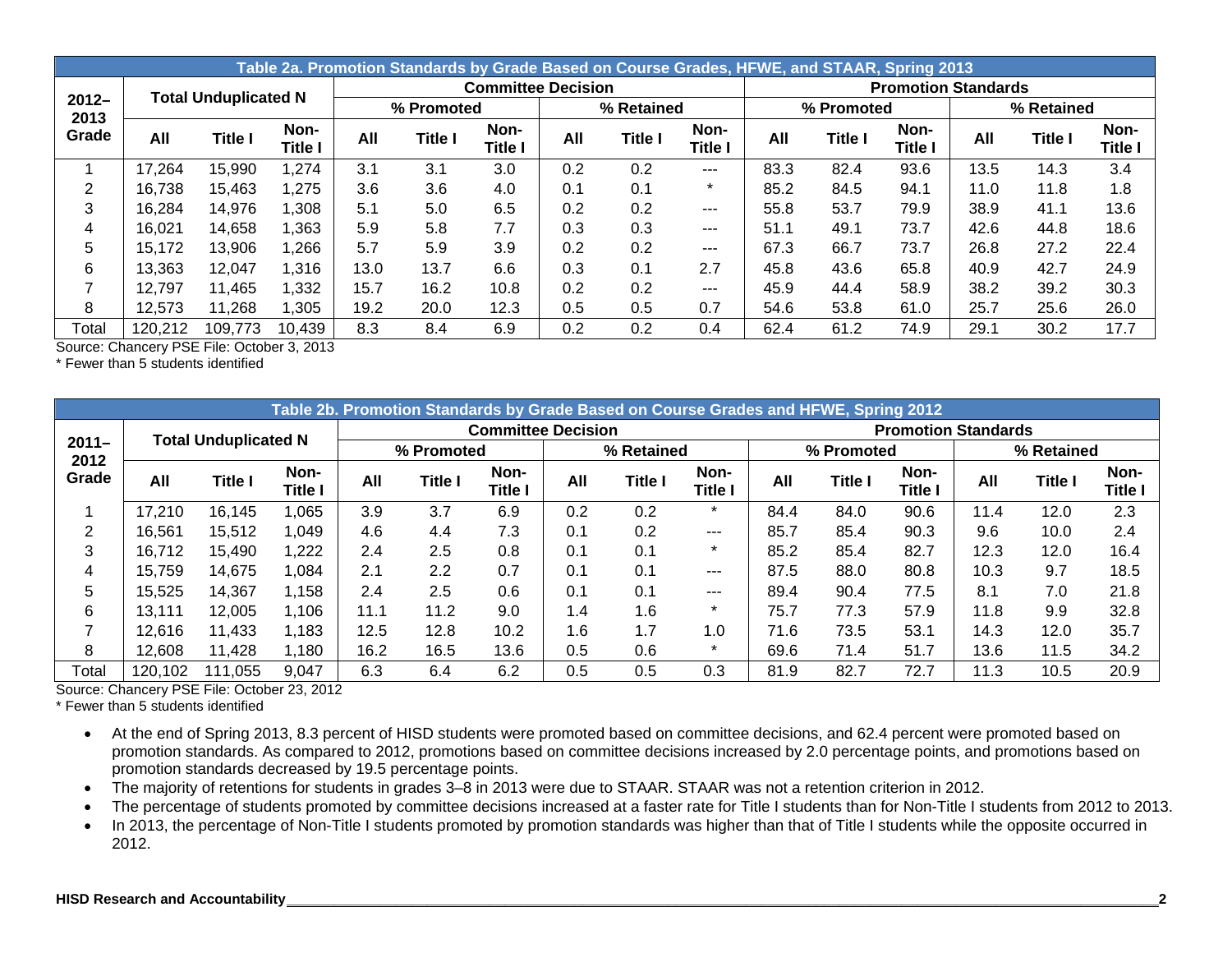|                  |         |                             |                 |      | Table 2a. Promotion Standards by Grade Based on Course Grades, HFWE, and STAAR, Spring 2013 |                           |     |                |                 |      |                |                            |      |            |                        |
|------------------|---------|-----------------------------|-----------------|------|---------------------------------------------------------------------------------------------|---------------------------|-----|----------------|-----------------|------|----------------|----------------------------|------|------------|------------------------|
|                  |         | <b>Total Unduplicated N</b> |                 |      |                                                                                             | <b>Committee Decision</b> |     |                |                 |      |                | <b>Promotion Standards</b> |      |            |                        |
| $2012 -$<br>2013 |         |                             |                 |      | % Promoted                                                                                  |                           |     | % Retained     |                 |      | % Promoted     |                            |      | % Retained |                        |
| Grade            | All     | <b>Title I</b>              | Non-<br>Title l | All  | <b>Title I</b>                                                                              | Non-<br>Title I           | All | <b>Title I</b> | Non-<br>Title I | All  | <b>Title I</b> | Non-<br><b>Title I</b>     | All  | Title I    | Non-<br><b>Title I</b> |
|                  | 17,264  | 15,990                      | 1,274           | 3.1  | 3.1                                                                                         | 3.0                       | 0.2 | 0.2            | $---$           | 83.3 | 82.4           | 93.6                       | 13.5 | 14.3       | 3.4                    |
| 2                | 16.738  | 15,463                      | 1,275           | 3.6  | 3.6                                                                                         | 4.0                       | 0.1 | 0.1            | $\star$         | 85.2 | 84.5           | 94.1                       | 11.0 | 11.8       | 1.8                    |
| 3                | 16,284  | 14,976                      | ,308            | 5.1  | 5.0                                                                                         | 6.5                       | 0.2 | 0.2            | $---$           | 55.8 | 53.7           | 79.9                       | 38.9 | 41.1       | 13.6                   |
| 4                | 16,021  | 14,658                      | .363            | 5.9  | 5.8                                                                                         | 7.7                       | 0.3 | 0.3            | $---$           | 51.1 | 49.1           | 73.7                       | 42.6 | 44.8       | 18.6                   |
| 5                | 15,172  | 13,906                      | .266            | 5.7  | 5.9                                                                                         | 3.9                       | 0.2 | 0.2            | $---$           | 67.3 | 66.7           | 73.7                       | 26.8 | 27.2       | 22.4                   |
| 6                | 13,363  | 12.047                      | 1,316           | 13.0 | 13.7                                                                                        | 6.6                       | 0.3 | 0.1            | 2.7             | 45.8 | 43.6           | 65.8                       | 40.9 | 42.7       | 24.9                   |
|                  | 12.797  | 11,465                      | 1,332           | 15.7 | 16.2                                                                                        | 10.8                      | 0.2 | 0.2            | $---$           | 45.9 | 44.4           | 58.9                       | 38.2 | 39.2       | 30.3                   |
| 8                | 12,573  | 11,268                      | .305            | 19.2 | 20.0                                                                                        | 12.3                      | 0.5 | 0.5            | 0.7             | 54.6 | 53.8           | 61.0                       | 25.7 | 25.6       | 26.0                   |
| Total            | 120,212 | 109,773                     | 10,439          | 8.3  | 8.4                                                                                         | 6.9                       | 0.2 | 0.2            | 0.4             | 62.4 | 61.2           | 74.9                       | 29.1 | 30.2       | 17.7                   |

\* Fewer than 5 students identified

|                  | Table 2b. Promotion Standards by Grade Based on Course Grades and HFWE, Spring 2012<br><b>Committee Decision</b><br><b>Promotion Standards</b> |                             |                 |      |                |                        |     |                |                 |      |                |                        |      |                |                        |
|------------------|------------------------------------------------------------------------------------------------------------------------------------------------|-----------------------------|-----------------|------|----------------|------------------------|-----|----------------|-----------------|------|----------------|------------------------|------|----------------|------------------------|
|                  |                                                                                                                                                | <b>Total Unduplicated N</b> |                 |      |                |                        |     |                |                 |      |                |                        |      |                |                        |
| $2011 -$<br>2012 |                                                                                                                                                |                             |                 |      | % Promoted     |                        |     | % Retained     |                 |      | % Promoted     |                        |      | % Retained     |                        |
| Grade            | All                                                                                                                                            | <b>Title I</b>              | Non-<br>Title l | All  | <b>Title I</b> | Non-<br><b>Title I</b> | All | <b>Title I</b> | Non-<br>Title I | All  | <b>Title I</b> | Non-<br><b>Title I</b> | All  | <b>Title I</b> | Non-<br><b>Title I</b> |
|                  | 17,210                                                                                                                                         | 16,145                      | 1,065           | 3.9  | 3.7            | 6.9                    | 0.2 | 0.2            | $\star$         | 84.4 | 84.0           | 90.6                   | 11.4 | 12.0           | 2.3                    |
| 2                | 16,561                                                                                                                                         | 15,512                      | 1,049           | 4.6  | 4.4            | 7.3                    | 0.1 | 0.2            | ---             | 85.7 | 85.4           | 90.3                   | 9.6  | 10.0           | 2.4                    |
| 3                | 16,712                                                                                                                                         | 15,490                      | 1,222           | 2.4  | 2.5            | 0.8                    | 0.1 | 0.1            | $\star$         | 85.2 | 85.4           | 82.7                   | 12.3 | 12.0           | 16.4                   |
| 4                | 15.759                                                                                                                                         | 14,675                      | 1,084           | 2.1  | 2.2            | 0.7                    | 0.1 | 0.1            | $---$           | 87.5 | 88.0           | 80.8                   | 10.3 | 9.7            | 18.5                   |
| 5                | 15,525                                                                                                                                         | 14,367                      | 1,158           | 2.4  | 2.5            | 0.6                    | 0.1 | 0.1            | ---             | 89.4 | 90.4           | 77.5                   | 8.1  | 7.0            | 21.8                   |
| 6                | 13.111                                                                                                                                         | 12.005                      | 1,106           | 11.1 | 11.2           | 9.0                    | 1.4 | 1.6            | $\star$         | 75.7 | 77.3           | 57.9                   | 11.8 | 9.9            | 32.8                   |
|                  | 12,616                                                                                                                                         | 11,433                      | 1,183           | 12.5 | 12.8           | 10.2                   | 1.6 | 1.7            | 1.0             | 71.6 | 73.5           | 53.1                   | 14.3 | 12.0           | 35.7                   |
| 8                | 12,608                                                                                                                                         | 11,428                      | 1,180           | 16.2 | 16.5           | 13.6                   | 0.5 | 0.6            | $\star$         | 69.6 | 71.4           | 51.7                   | 13.6 | 11.5           | 34.2                   |
| Total            | 120,102                                                                                                                                        | 11,055                      | 9,047           | 6.3  | 6.4            | 6.2                    | 0.5 | 0.5            | 0.3             | 81.9 | 82.7           | 72.7                   | 11.3 | 10.5           | 20.9                   |

Source: Chancery PSE File: October 23, 2012

\* Fewer than 5 students identified

- At the end of Spring 2013, 8.3 percent of HISD students were promoted based on committee decisions, and 62.4 percent were promoted based on promotion standards. As compared to 2012, promotions based on committee decisions increased by 2.0 percentage points, and promotions based on promotion standards decreased by 19.5 percentage points.
- The majority of retentions for students in grades 3–8 in 2013 were due to STAAR. STAAR was not a retention criterion in 2012.
- The percentage of students promoted by committee decisions increased at a faster rate for Title I students than for Non-Title I students from 2012 to 2013.
- In 2013, the percentage of Non-Title I students promoted by promotion standards was higher than that of Title I students while the opposite occurred in 2012.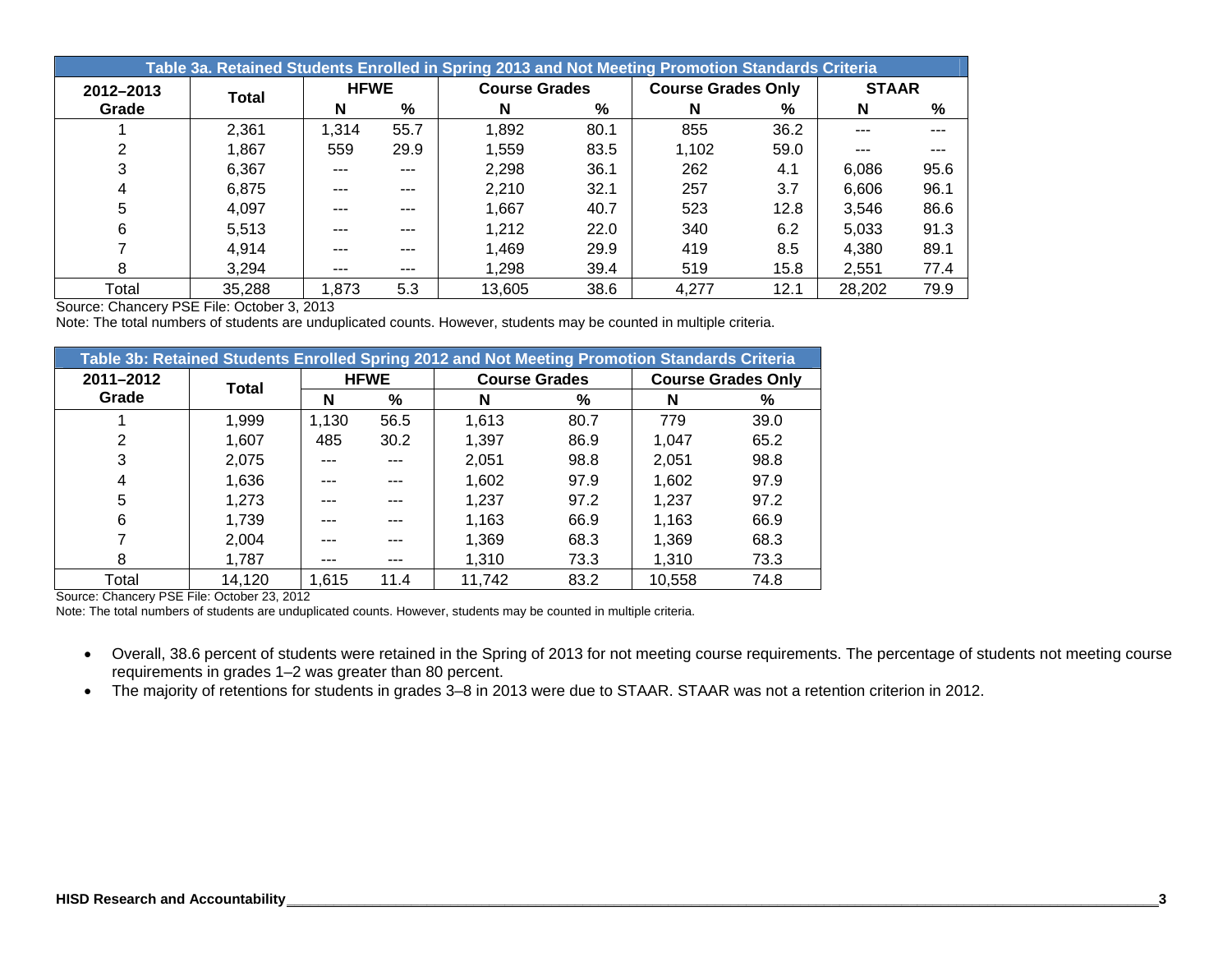|           | Table 3a. Retained Students Enrolled in Spring 2013 and Not Meeting Promotion Standards Criteria |             |      |                      |      |                           |      |              |      |  |  |  |  |  |
|-----------|--------------------------------------------------------------------------------------------------|-------------|------|----------------------|------|---------------------------|------|--------------|------|--|--|--|--|--|
| 2012-2013 | Total                                                                                            | <b>HFWE</b> |      | <b>Course Grades</b> |      | <b>Course Grades Only</b> |      | <b>STAAR</b> |      |  |  |  |  |  |
| Grade     |                                                                                                  | N           | %    | N                    | %    | N                         | %    | N            | %    |  |  |  |  |  |
|           | 2,361                                                                                            | 1.314       | 55.7 | 1,892                | 80.1 | 855                       | 36.2 | ---          | ---  |  |  |  |  |  |
|           | 1,867                                                                                            | 559         | 29.9 | 1,559                | 83.5 | 1,102                     | 59.0 | ---          |      |  |  |  |  |  |
| 3         | 6.367                                                                                            | ---         | ---  | 2,298                | 36.1 | 262                       | 4.1  | 6.086        | 95.6 |  |  |  |  |  |
| 4         | 6,875                                                                                            | ---         | ---  | 2,210                | 32.1 | 257                       | 3.7  | 6,606        | 96.1 |  |  |  |  |  |
| 5         | 4,097                                                                                            |             | ---  | 1,667                | 40.7 | 523                       | 12.8 | 3.546        | 86.6 |  |  |  |  |  |
| 6         | 5,513                                                                                            |             | ---  | 1,212                | 22.0 | 340                       | 6.2  | 5,033        | 91.3 |  |  |  |  |  |
|           | 4.914                                                                                            | ---         | ---  | 1,469                | 29.9 | 419                       | 8.5  | 4.380        | 89.1 |  |  |  |  |  |
| 8         | 3,294                                                                                            | $--$        | ---  | 1,298                | 39.4 | 519                       | 15.8 | 2.551        | 77.4 |  |  |  |  |  |
| Total     | 35,288                                                                                           | .873        | 5.3  | 13,605               | 38.6 | 4,277                     | 12.1 | 28,202       | 79.9 |  |  |  |  |  |

Note: The total numbers of students are unduplicated counts. However, students may be counted in multiple criteria.

|           | Table 3b: Retained Students Enrolled Spring 2012 and Not Meeting Promotion Standards Criteria |       |             |                      |      |        |                           |  |  |  |  |  |  |  |  |
|-----------|-----------------------------------------------------------------------------------------------|-------|-------------|----------------------|------|--------|---------------------------|--|--|--|--|--|--|--|--|
| 2011-2012 | <b>Total</b>                                                                                  |       | <b>HFWE</b> | <b>Course Grades</b> |      |        | <b>Course Grades Only</b> |  |  |  |  |  |  |  |  |
| Grade     |                                                                                               | N     | %           | N                    | %    | N      | %                         |  |  |  |  |  |  |  |  |
|           | 1,999                                                                                         | 1.130 | 56.5        | 1.613                | 80.7 | 779    | 39.0                      |  |  |  |  |  |  |  |  |
| 2         | 1,607                                                                                         | 485   | 30.2        | 1.397                | 86.9 | 1.047  | 65.2                      |  |  |  |  |  |  |  |  |
| 3         | 2,075                                                                                         |       | $- - -$     | 2,051                | 98.8 | 2,051  | 98.8                      |  |  |  |  |  |  |  |  |
| 4         | 1,636                                                                                         |       | ---         | 1,602                | 97.9 | 1,602  | 97.9                      |  |  |  |  |  |  |  |  |
| 5         | 1.273                                                                                         |       |             | 1.237                | 97.2 | 1.237  | 97.2                      |  |  |  |  |  |  |  |  |
| 6         | 1,739                                                                                         |       |             | 1.163                | 66.9 | 1,163  | 66.9                      |  |  |  |  |  |  |  |  |
|           | 2,004                                                                                         |       |             | 1,369                | 68.3 | 1,369  | 68.3                      |  |  |  |  |  |  |  |  |
| 8         | 1,787                                                                                         |       |             | 1.310                | 73.3 | 1.310  | 73.3                      |  |  |  |  |  |  |  |  |
| Total     | 14,120                                                                                        | 1,615 | 11.4        | 11,742               | 83.2 | 10,558 | 74.8                      |  |  |  |  |  |  |  |  |

Source: Chancery PSE File: October 23, 2012

Note: The total numbers of students are unduplicated counts. However, students may be counted in multiple criteria.

- Overall, 38.6 percent of students were retained in the Spring of 2013 for not meeting course requirements. The percentage of students not meeting course requirements in grades 1–2 was greater than 80 percent.
- The majority of retentions for students in grades 3–8 in 2013 were due to STAAR. STAAR was not a retention criterion in 2012.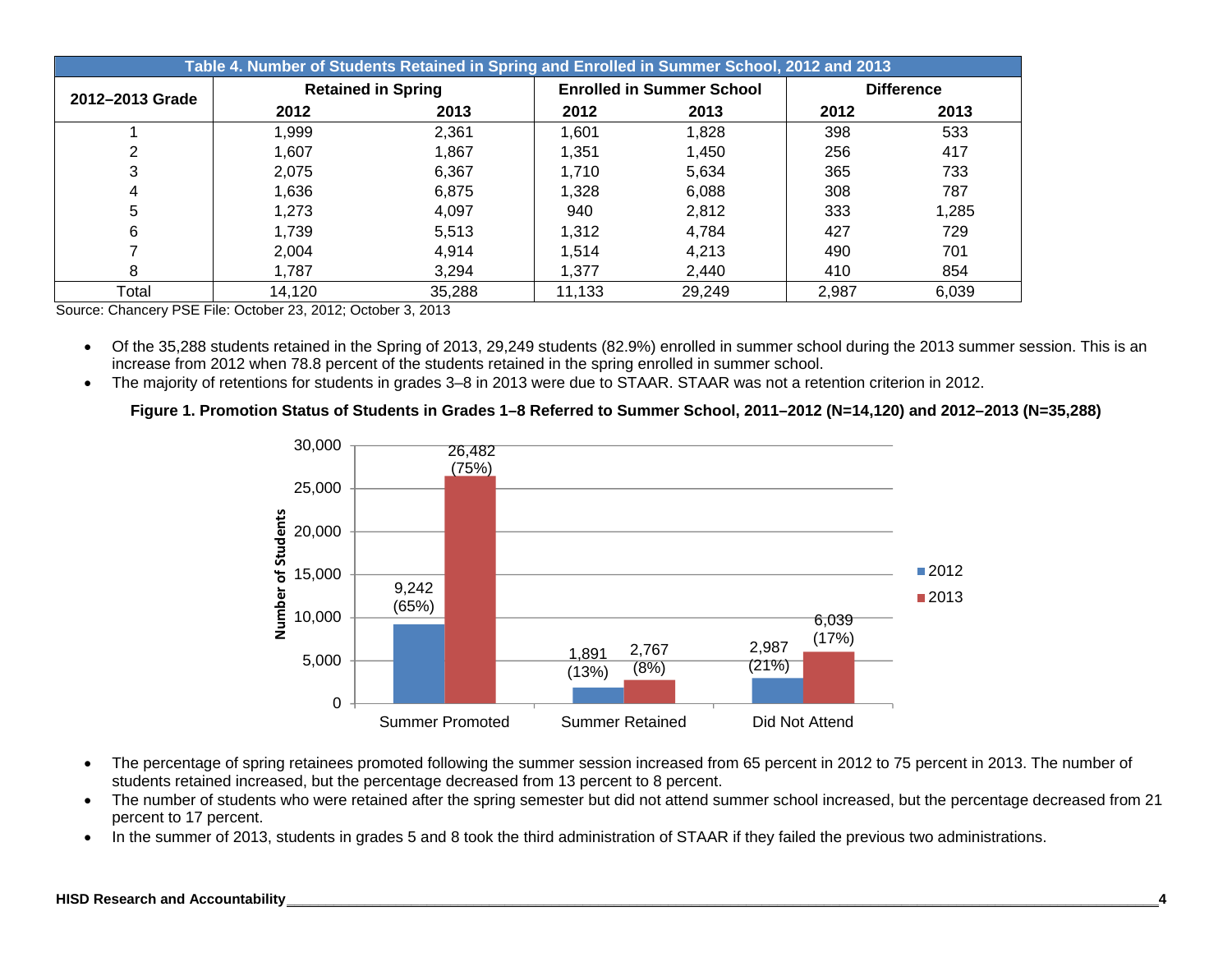|                 | Table 4. Number of Students Retained in Spring and Enrolled in Summer School, 2012 and 2013 |                           |        |                                  |       |                   |  |  |  |  |  |  |  |
|-----------------|---------------------------------------------------------------------------------------------|---------------------------|--------|----------------------------------|-------|-------------------|--|--|--|--|--|--|--|
| 2012-2013 Grade |                                                                                             | <b>Retained in Spring</b> |        | <b>Enrolled in Summer School</b> |       | <b>Difference</b> |  |  |  |  |  |  |  |
|                 | 2012                                                                                        | 2013                      | 2012   | 2013                             | 2012  | 2013              |  |  |  |  |  |  |  |
|                 | 1,999                                                                                       | 2,361                     | 1.601  | 1,828                            | 398   | 533               |  |  |  |  |  |  |  |
| ◠               | 1.607                                                                                       | 1,867                     | 1.351  | 1.450                            | 256   | 417               |  |  |  |  |  |  |  |
| 3               | 2,075                                                                                       | 6,367                     | 1.710  | 5,634                            | 365   | 733               |  |  |  |  |  |  |  |
| 4               | 1,636                                                                                       | 6,875                     | 1,328  | 6,088                            | 308   | 787               |  |  |  |  |  |  |  |
| 5               | 1.273                                                                                       | 4.097                     | 940    | 2,812                            | 333   | 1,285             |  |  |  |  |  |  |  |
| 6               | 1,739                                                                                       | 5,513                     | 1,312  | 4,784                            | 427   | 729               |  |  |  |  |  |  |  |
|                 | 2,004                                                                                       | 4,914                     | 1.514  | 4.213                            | 490   | 701               |  |  |  |  |  |  |  |
| 8               | 1.787                                                                                       | 3,294                     | 1.377  | 2.440                            | 410   | 854               |  |  |  |  |  |  |  |
| Total           | 14,120                                                                                      | 35,288                    | 11,133 | 29,249                           | 2,987 | 6,039             |  |  |  |  |  |  |  |

Source: Chancery PSE File: October 23, 2012; October 3, 2013

 Of the 35,288 students retained in the Spring of 2013, 29,249 students (82.9%) enrolled in summer school during the 2013 summer session. This is an increase from 2012 when 78.8 percent of the students retained in the spring enrolled in summer school.

The majority of retentions for students in grades 3–8 in 2013 were due to STAAR. STAAR was not a retention criterion in 2012.

**Figure 1. Promotion Status of Students in Grades 1–8 Referred to Summer School, 2011–2012 (N=14,120) and 2012–2013 (N=35,288)** 



- The percentage of spring retainees promoted following the summer session increased from 65 percent in 2012 to 75 percent in 2013. The number of students retained increased, but the percentage decreased from 13 percent to 8 percent.
- The number of students who were retained after the spring semester but did not attend summer school increased, but the percentage decreased from 21 percent to 17 percent.
- In the summer of 2013, students in grades 5 and 8 took the third administration of STAAR if they failed the previous two administrations.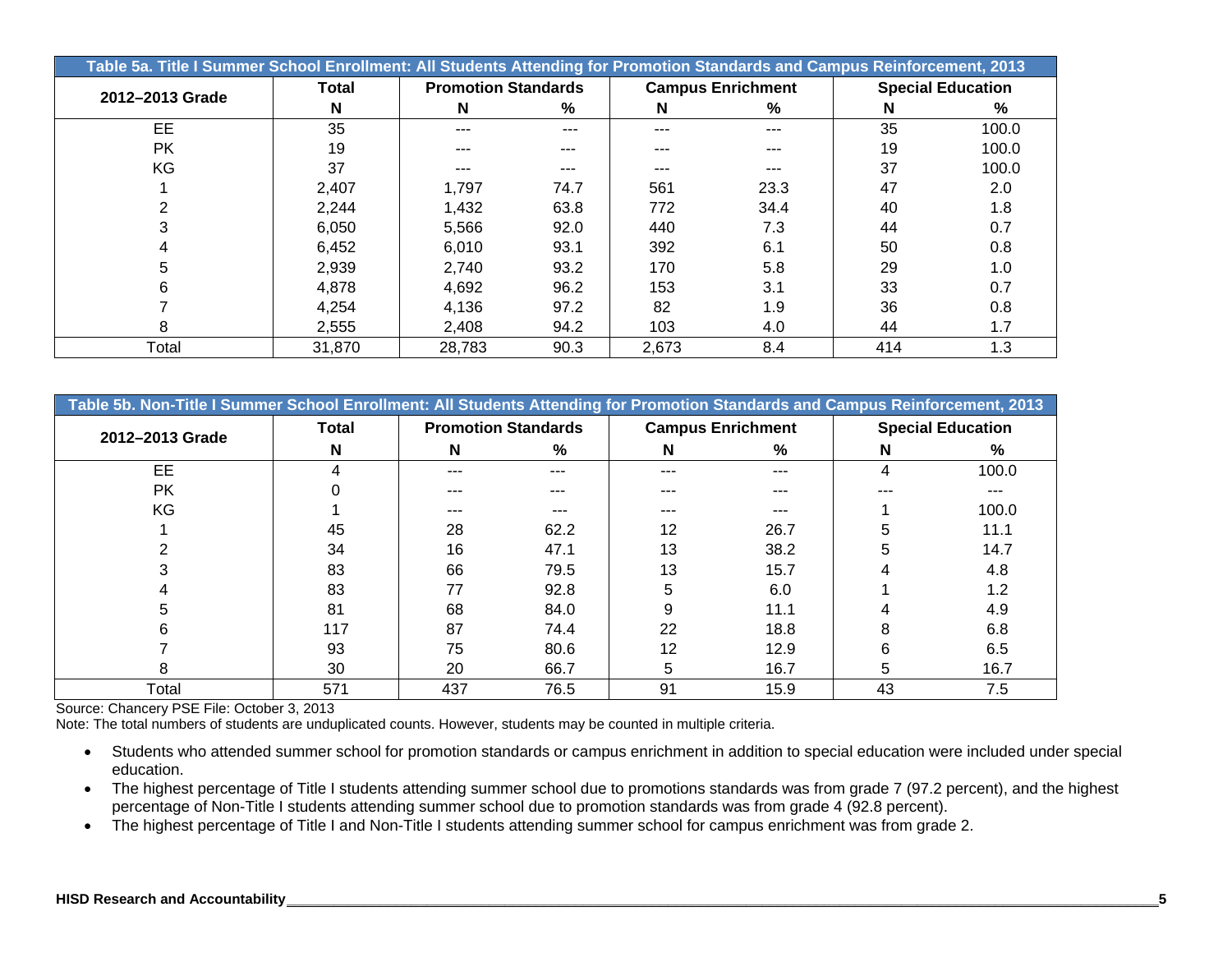|                 | Table 5a. Title I Summer School Enrollment: All Students Attending for Promotion Standards and Campus Reinforcement, 2013 |                            |       |       |                          |     |                          |  |  |  |  |  |  |
|-----------------|---------------------------------------------------------------------------------------------------------------------------|----------------------------|-------|-------|--------------------------|-----|--------------------------|--|--|--|--|--|--|
| 2012-2013 Grade | Total                                                                                                                     | <b>Promotion Standards</b> |       |       | <b>Campus Enrichment</b> |     | <b>Special Education</b> |  |  |  |  |  |  |
|                 | N                                                                                                                         | N                          | %     | N     | %                        | N   | $\%$                     |  |  |  |  |  |  |
| EE.             | 35                                                                                                                        | ---                        | $---$ | ---   | ---                      | 35  | 100.0                    |  |  |  |  |  |  |
| <b>PK</b>       | 19                                                                                                                        | ---                        | ---   | ---   |                          | 19  | 100.0                    |  |  |  |  |  |  |
| KG              | 37                                                                                                                        | ---                        | ---   | ---   |                          | 37  | 100.0                    |  |  |  |  |  |  |
|                 | 2,407                                                                                                                     | 1,797                      | 74.7  | 561   | 23.3                     | 47  | 2.0                      |  |  |  |  |  |  |
|                 | 2,244                                                                                                                     | 1,432                      | 63.8  | 772   | 34.4                     | 40  | 1.8                      |  |  |  |  |  |  |
|                 | 6,050                                                                                                                     | 5,566                      | 92.0  | 440   | 7.3                      | 44  | 0.7                      |  |  |  |  |  |  |
|                 | 6,452                                                                                                                     | 6,010                      | 93.1  | 392   | 6.1                      | 50  | 0.8                      |  |  |  |  |  |  |
|                 | 2,939                                                                                                                     | 2,740                      | 93.2  | 170   | 5.8                      | 29  | 1.0                      |  |  |  |  |  |  |
|                 | 4,878                                                                                                                     | 4,692                      | 96.2  | 153   | 3.1                      | 33  | 0.7                      |  |  |  |  |  |  |
|                 | 4,254                                                                                                                     | 4,136                      | 97.2  | 82    | 1.9                      | 36  | 0.8                      |  |  |  |  |  |  |
| 8               | 2,555                                                                                                                     | 2,408                      | 94.2  | 103   | 4.0                      | 44  | 1.7                      |  |  |  |  |  |  |
| Total           | 31.870                                                                                                                    | 28.783                     | 90.3  | 2,673 | 8.4                      | 414 | 1.3                      |  |  |  |  |  |  |

| Table 5b. Non-Title I Summer School Enrollment: All Students Attending for Promotion Standards and Campus Reinforcement, 2013 |       |     |                            |     |                          |    |                          |  |  |  |  |  |
|-------------------------------------------------------------------------------------------------------------------------------|-------|-----|----------------------------|-----|--------------------------|----|--------------------------|--|--|--|--|--|
| 2012-2013 Grade                                                                                                               | Total |     | <b>Promotion Standards</b> |     | <b>Campus Enrichment</b> |    | <b>Special Education</b> |  |  |  |  |  |
|                                                                                                                               | N     | N   | %                          | N   | %                        | N  | %                        |  |  |  |  |  |
| EE                                                                                                                            |       |     | ---                        | --- | ---                      | 4  | 100.0                    |  |  |  |  |  |
| PK                                                                                                                            |       | --- |                            | --- | ---                      |    | ---                      |  |  |  |  |  |
| KG                                                                                                                            |       | --- |                            | --- | ---                      |    | 100.0                    |  |  |  |  |  |
|                                                                                                                               | 45    | 28  | 62.2                       | 12  | 26.7                     | 5  | 11.1                     |  |  |  |  |  |
|                                                                                                                               | 34    | 16  | 47.1                       | 13  | 38.2                     | 5  | 14.7                     |  |  |  |  |  |
|                                                                                                                               | 83    | 66  | 79.5                       | 13  | 15.7                     |    | 4.8                      |  |  |  |  |  |
|                                                                                                                               | 83    | 77  | 92.8                       | 5   | 6.0                      |    | 1.2                      |  |  |  |  |  |
|                                                                                                                               | 81    | 68  | 84.0                       | 9   | 11.1                     |    | 4.9                      |  |  |  |  |  |
|                                                                                                                               | 117   | 87  | 74.4                       | 22  | 18.8                     | 8  | 6.8                      |  |  |  |  |  |
|                                                                                                                               | 93    | 75  | 80.6                       | 12  | 12.9                     | 6  | 6.5                      |  |  |  |  |  |
| σ                                                                                                                             | 30    | 20  | 66.7                       | 5   | 16.7                     | 5  | 16.7                     |  |  |  |  |  |
| Total                                                                                                                         | 571   | 437 | 76.5                       | 91  | 15.9                     | 43 | 7.5                      |  |  |  |  |  |

Note: The total numbers of students are unduplicated counts. However, students may be counted in multiple criteria.

- Students who attended summer school for promotion standards or campus enrichment in addition to special education were included under special education.
- The highest percentage of Title I students attending summer school due to promotions standards was from grade 7 (97.2 percent), and the highest percentage of Non-Title I students attending summer school due to promotion standards was from grade 4 (92.8 percent).
- The highest percentage of Title I and Non-Title I students attending summer school for campus enrichment was from grade 2.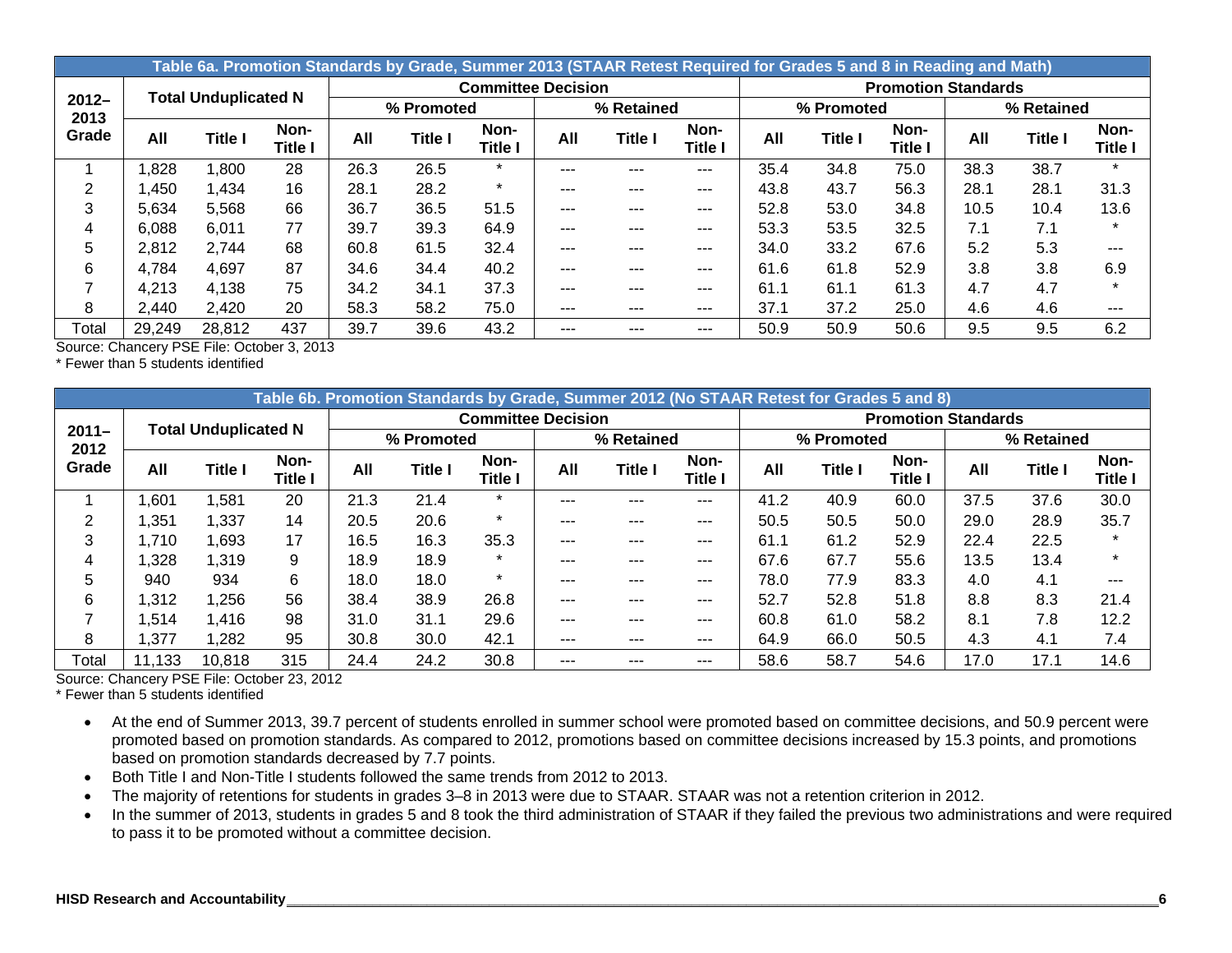|                  |        |                             |                        |      | Table 6a. Promotion Standards by Grade, Summer 2013 (STAAR Retest Required for Grades 5 and 8 in Reading and Math) |                           |         |            |                        |      |                |                            |      |                |                        |
|------------------|--------|-----------------------------|------------------------|------|--------------------------------------------------------------------------------------------------------------------|---------------------------|---------|------------|------------------------|------|----------------|----------------------------|------|----------------|------------------------|
|                  |        | <b>Total Unduplicated N</b> |                        |      |                                                                                                                    | <b>Committee Decision</b> |         |            |                        |      |                | <b>Promotion Standards</b> |      |                |                        |
| $2012 -$<br>2013 |        |                             |                        |      | % Promoted                                                                                                         |                           |         | % Retained |                        |      | % Promoted     |                            |      | % Retained     |                        |
| Grade            | All    | Title I                     | Non-<br><b>Title I</b> | All  | <b>Title I</b>                                                                                                     | Non-<br><b>Title I</b>    | All     | Title I    | Non-<br><b>Title I</b> | All  | <b>Title I</b> | Non-<br>Title I            | All  | <b>Title I</b> | Non-<br><b>Title I</b> |
|                  | .828   | .800                        | 28                     | 26.3 | 26.5                                                                                                               | $\star$                   | $- - -$ | ---        | $- - -$                | 35.4 | 34.8           | 75.0                       | 38.3 | 38.7           | $\star$                |
| 2                | ,450   | .434                        | 16                     | 28.1 | 28.2                                                                                                               | $\star$                   | $- - -$ | ---        | ---                    | 43.8 | 43.7           | 56.3                       | 28.1 | 28.1           | 31.3                   |
| 3                | 5,634  | 5,568                       | 66                     | 36.7 | 36.5                                                                                                               | 51.5                      | ---     | ---        | $--$                   | 52.8 | 53.0           | 34.8                       | 10.5 | 10.4           | 13.6                   |
| 4                | 6,088  | 6,011                       | 77                     | 39.7 | 39.3                                                                                                               | 64.9                      | $- - -$ | ---        | $---$                  | 53.3 | 53.5           | 32.5                       | 7.1  | 7.1            | $\star$                |
| 5                | 2,812  | 2,744                       | 68                     | 60.8 | 61.5                                                                                                               | 32.4                      | $- - -$ | ---        | $--$                   | 34.0 | 33.2           | 67.6                       | 5.2  | 5.3            | ---                    |
| 6                | 4,784  | 4,697                       | 87                     | 34.6 | 34.4                                                                                                               | 40.2                      | ---     | ---        | $--$                   | 61.6 | 61.8           | 52.9                       | 3.8  | 3.8            | 6.9                    |
|                  | 4,213  | 4,138                       | 75                     | 34.2 | 34.1                                                                                                               | 37.3                      | $- - -$ | ---        | $---$                  | 61.1 | 61.1           | 61.3                       | 4.7  | 4.7            | $\star$                |
| 8                | 2,440  | 2,420                       | 20                     | 58.3 | 58.2                                                                                                               | 75.0                      | $- - -$ | ---        | $---$                  | 37.1 | 37.2           | 25.0                       | 4.6  | 4.6            | ---                    |
| Total            | 29,249 | 28,812                      | 437                    | 39.7 | 39.6                                                                                                               | 43.2                      | ---     |            | ---                    | 50.9 | 50.9           | 50.6                       | 9.5  | 9.5            | 6.2                    |

\* Fewer than 5 students identified

|                  | Table 6b. Promotion Standards by Grade, Summer 2012 (No STAAR Retest for Grades 5 and 8) |                             |                        |      |                |                           |       |                |                 |      |                |                            |      |                |                 |
|------------------|------------------------------------------------------------------------------------------|-----------------------------|------------------------|------|----------------|---------------------------|-------|----------------|-----------------|------|----------------|----------------------------|------|----------------|-----------------|
|                  |                                                                                          | <b>Total Unduplicated N</b> |                        |      |                | <b>Committee Decision</b> |       |                |                 |      |                | <b>Promotion Standards</b> |      |                |                 |
| $2011 -$<br>2012 |                                                                                          |                             |                        |      | % Promoted     |                           |       | % Retained     |                 |      | % Promoted     |                            |      | % Retained     |                 |
| Grade            | All                                                                                      | <b>Title I</b>              | Non-<br><b>Title I</b> | All  | <b>Title I</b> | Non-<br><b>Title I</b>    | All   | <b>Title I</b> | Non-<br>Title I | All  | <b>Title I</b> | Non-<br>Title I            | All  | <b>Title I</b> | Non-<br>Title I |
|                  | ,601                                                                                     | .581                        | 20                     | 21.3 | 21.4           | $\star$                   | $---$ | ---            | ---             | 41.2 | 40.9           | 60.0                       | 37.5 | 37.6           | 30.0            |
|                  | .351                                                                                     | 1,337                       | 14                     | 20.5 | 20.6           | $\star$                   | $---$ | ---            | ---             | 50.5 | 50.5           | 50.0                       | 29.0 | 28.9           | 35.7            |
| 3                | .710                                                                                     | 1,693                       | 17                     | 16.5 | 16.3           | 35.3                      | $---$ | ---            | ---             | 61.1 | 61.2           | 52.9                       | 22.4 | 22.5           |                 |
| 4                | ,328                                                                                     | 1,319                       | 9                      | 18.9 | 18.9           | $\star$                   | $---$ | ---            | ---             | 67.6 | 67.7           | 55.6                       | 13.5 | 13.4           |                 |
| 5                | 940                                                                                      | 934                         | 6                      | 18.0 | 18.0           | $\star$                   | $---$ | ---            | ---             | 78.0 | 77.9           | 83.3                       | 4.0  | 4.1            |                 |
| 6                | .312                                                                                     | 1,256                       | 56                     | 38.4 | 38.9           | 26.8                      | $---$ | ---            | ---             | 52.7 | 52.8           | 51.8                       | 8.8  | 8.3            | 21.4            |
|                  | .514                                                                                     | 1,416                       | 98                     | 31.0 | 31.1           | 29.6                      | $---$ | ---            | ---             | 60.8 | 61.0           | 58.2                       | 8.1  | 7.8            | 12.2            |
| 8                | ,377                                                                                     | 1,282                       | 95                     | 30.8 | 30.0           | 42.1                      | ---   | ---            | $--$            | 64.9 | 66.0           | 50.5                       | 4.3  | 4.1            | 7.4             |
| Total            | 11,133                                                                                   | 10,818                      | 315                    | 24.4 | 24.2           | 30.8                      | ---   |                | $---$           | 58.6 | 58.7           | 54.6                       | 17.0 | 17.1           | 14.6            |

Source: Chancery PSE File: October 23, 2012

\* Fewer than 5 students identified

- At the end of Summer 2013, 39.7 percent of students enrolled in summer school were promoted based on committee decisions, and 50.9 percent were promoted based on promotion standards. As compared to 2012, promotions based on committee decisions increased by 15.3 points, and promotions based on promotion standards decreased by 7.7 points.
- Both Title I and Non-Title I students followed the same trends from 2012 to 2013.
- The majority of retentions for students in grades 3–8 in 2013 were due to STAAR. STAAR was not a retention criterion in 2012.
- In the summer of 2013, students in grades 5 and 8 took the third administration of STAAR if they failed the previous two administrations and were required to pass it to be promoted without a committee decision.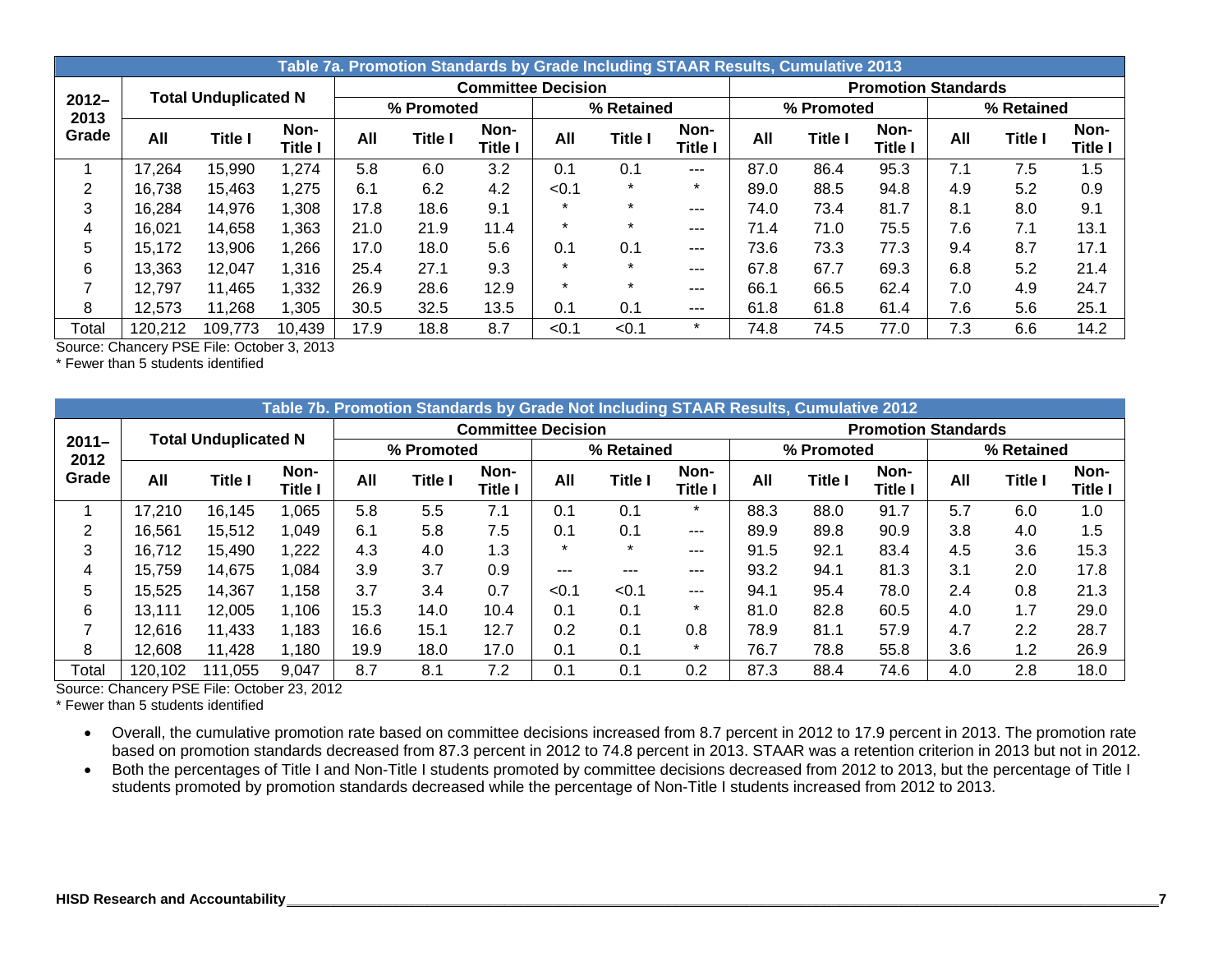|                  |         |                             |                 |      |                |                           | Table 7a. Promotion Standards by Grade Including STAAR Results, Cumulative 2013 |                |                 |      |                |                            |            |                |                 |
|------------------|---------|-----------------------------|-----------------|------|----------------|---------------------------|---------------------------------------------------------------------------------|----------------|-----------------|------|----------------|----------------------------|------------|----------------|-----------------|
|                  |         | <b>Total Unduplicated N</b> |                 |      |                | <b>Committee Decision</b> |                                                                                 |                |                 |      |                | <b>Promotion Standards</b> |            |                |                 |
| $2012 -$<br>2013 |         |                             |                 |      | % Promoted     |                           |                                                                                 | % Retained     |                 |      | % Promoted     |                            | % Retained |                |                 |
| Grade            | All     | <b>Title I</b>              | Non-<br>Title I | All  | <b>Title I</b> | Non-<br>Title l           | All                                                                             | <b>Title I</b> | Non-<br>Title I | All  | <b>Title I</b> | Non-<br>Title              | All        | <b>Title I</b> | Non-<br>Title I |
|                  | 17,264  | 15,990                      | 1,274           | 5.8  | 6.0            | 3.2                       | 0.1                                                                             | 0.1            | $- - -$         | 87.0 | 86.4           | 95.3                       | 7.1        | 7.5            | 1.5             |
| 2                | 16,738  | 15,463                      | 1,275           | 6.1  | 6.2            | 4.2                       | < 0.1                                                                           | $\star$        | $\star$         | 89.0 | 88.5           | 94.8                       | 4.9        | 5.2            | 0.9             |
| 3                | 16,284  | 14,976                      | 1,308           | 17.8 | 18.6           | 9.1                       | $\star$                                                                         | $\star$        | $- - -$         | 74.0 | 73.4           | 81.7                       | 8.1        | 8.0            | 9.1             |
| 4                | 16,021  | 14,658                      | 1,363           | 21.0 | 21.9           | 11.4                      | $\star$                                                                         | $\star$        | $--$            | 71.4 | 71.0           | 75.5                       | 7.6        | 7.1            | 13.1            |
| 5                | 15,172  | 13,906                      | 1,266           | 17.0 | 18.0           | 5.6                       | 0.1                                                                             | 0.1            | $--$            | 73.6 | 73.3           | 77.3                       | 9.4        | 8.7            | 17.1            |
| 6                | 13,363  | 12,047                      | 1,316           | 25.4 | 27.1           | 9.3                       | $\star$                                                                         | $\star$        | $- - -$         | 67.8 | 67.7           | 69.3                       | 6.8        | 5.2            | 21.4            |
|                  | 12,797  | 11.465                      | 1,332           | 26.9 | 28.6           | 12.9                      | $\star$                                                                         | $\star$        | $- - -$         | 66.1 | 66.5           | 62.4                       | 7.0        | 4.9            | 24.7            |
| 8                | 12,573  | 11,268                      | 1,305           | 30.5 | 32.5           | 13.5                      | 0.1                                                                             | 0.1            | $---$           | 61.8 | 61.8           | 61.4                       | 7.6        | 5.6            | 25.1            |
| Total            | 120,212 | 109,773                     | 10,439          | 17.9 | 18.8           | 8.7                       | < 0.1                                                                           | < 0.1          | $^\star$        | 74.8 | 74.5           | 77.0                       | 7.3        | 6.6            | 14.2            |

\* Fewer than 5 students identified

|                  |         |                             |                 |      |                |                           |         | Table 7b. Promotion Standards by Grade Not Including STAAR Results, Cumulative 2012 |                 |      |                |                            |     |                |                        |
|------------------|---------|-----------------------------|-----------------|------|----------------|---------------------------|---------|-------------------------------------------------------------------------------------|-----------------|------|----------------|----------------------------|-----|----------------|------------------------|
|                  |         | <b>Total Unduplicated N</b> |                 |      |                | <b>Committee Decision</b> |         |                                                                                     |                 |      |                | <b>Promotion Standards</b> |     |                |                        |
| $2011 -$<br>2012 |         |                             |                 |      | % Promoted     |                           |         | % Retained                                                                          |                 |      | % Promoted     |                            |     | % Retained     |                        |
| Grade            | All     | <b>Title I</b>              | Non-<br>Title I | All  | <b>Title I</b> | Non-<br>Title l           | All     | <b>Title I</b>                                                                      | Non-<br>Title l | All  | <b>Title I</b> | Non-<br>Title I            | All | <b>Title I</b> | Non-<br><b>Title I</b> |
|                  | 17,210  | 16.145                      | .065            | 5.8  | 5.5            | 7.1                       | 0.1     | 0.1                                                                                 | $\star$         | 88.3 | 88.0           | 91.7                       | 5.7 | 6.0            | 1.0                    |
| 2                | 16.561  | 15,512                      | 1,049           | 6.1  | 5.8            | 7.5                       | 0.1     | 0.1                                                                                 | $---$           | 89.9 | 89.8           | 90.9                       | 3.8 | 4.0            | 1.5                    |
| 3                | 16,712  | 15.490                      | 1,222           | 4.3  | 4.0            | 1.3                       | $\star$ | $\star$                                                                             | $\frac{1}{2}$   | 91.5 | 92.1           | 83.4                       | 4.5 | 3.6            | 15.3                   |
| 4                | 15.759  | 14,675                      | 1,084           | 3.9  | 3.7            | 0.9                       | ---     | ---                                                                                 | ---             | 93.2 | 94.1           | 81.3                       | 3.1 | 2.0            | 17.8                   |
| 5                | 15,525  | 14,367                      | 1,158           | 3.7  | 3.4            | 0.7                       | < 0.1   | < 0.1                                                                               | $---$           | 94.1 | 95.4           | 78.0                       | 2.4 | 0.8            | 21.3                   |
| 6                | 13.111  | 12.005                      | 1,106           | 15.3 | 14.0           | 10.4                      | 0.1     | 0.1                                                                                 | $\star$         | 81.0 | 82.8           | 60.5                       | 4.0 | 1.7            | 29.0                   |
|                  | 12,616  | 11,433                      | 1,183           | 16.6 | 15.1           | 12.7                      | 0.2     | 0.1                                                                                 | 0.8             | 78.9 | 81.1           | 57.9                       | 4.7 | 2.2            | 28.7                   |
| 8                | 12,608  | 11,428                      | 1,180           | 19.9 | 18.0           | 17.0                      | 0.1     | 0.1                                                                                 | $\star$         | 76.7 | 78.8           | 55.8                       | 3.6 | 1.2            | 26.9                   |
| Total            | 120,102 | 111.055                     | 9,047           | 8.7  | 8.1            | 7.2                       | 0.1     | 0.1                                                                                 | 0.2             | 87.3 | 88.4           | 74.6                       | 4.0 | 2.8            | 18.0                   |

Source: Chancery PSE File: October 23, 2012

\* Fewer than 5 students identified

 Overall, the cumulative promotion rate based on committee decisions increased from 8.7 percent in 2012 to 17.9 percent in 2013. The promotion rate based on promotion standards decreased from 87.3 percent in 2012 to 74.8 percent in 2013. STAAR was a retention criterion in 2013 but not in 2012.

 Both the percentages of Title I and Non-Title I students promoted by committee decisions decreased from 2012 to 2013, but the percentage of Title I students promoted by promotion standards decreased while the percentage of Non-Title I students increased from 2012 to 2013.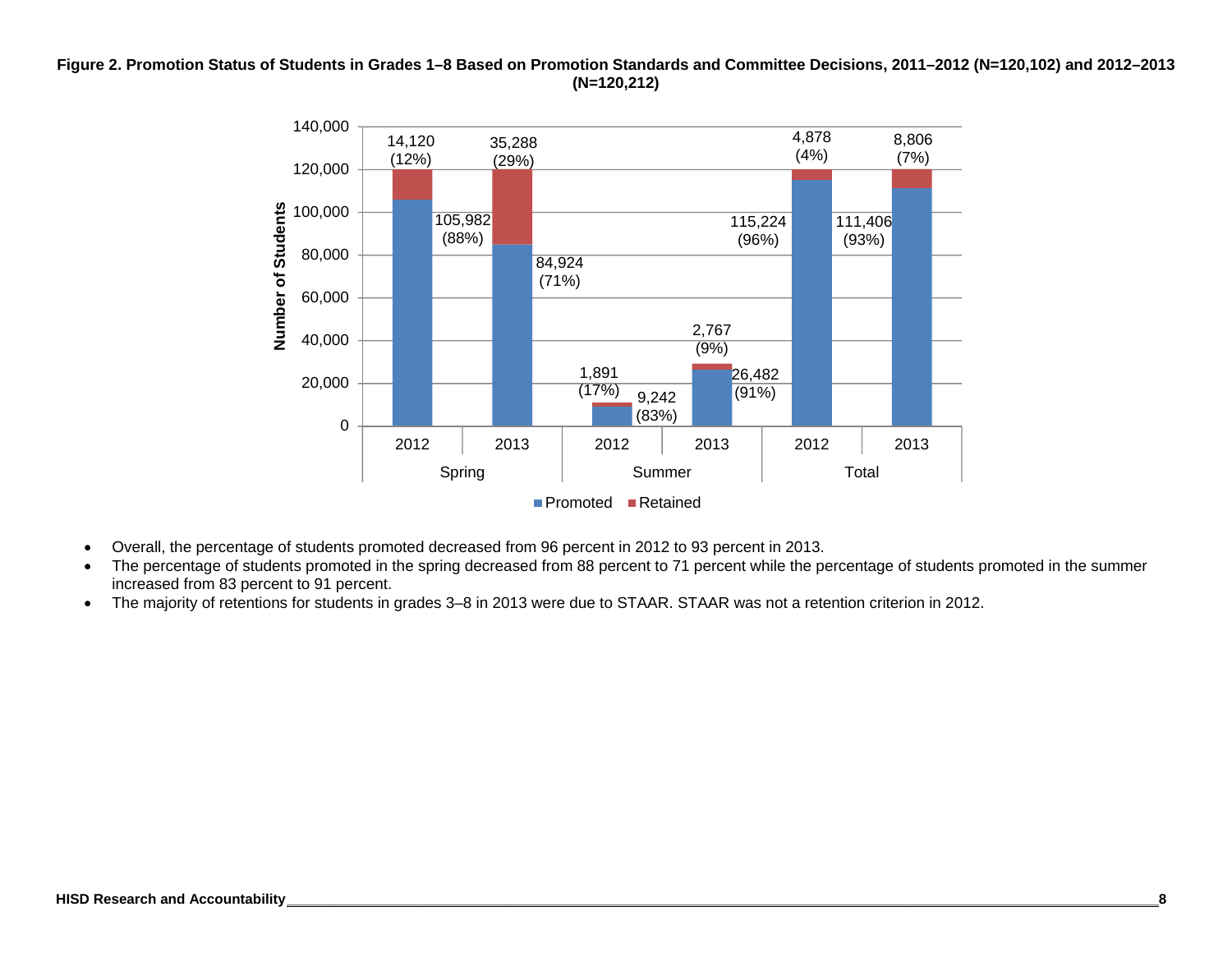#### **Figure 2. Promotion Status of Students in Grades 1–8 Based on Promotion Standards and Committee Decisions, 2011–2012 (N=120,102) and 2012–2013 (N=120,212)**



- Overall, the percentage of students promoted decreased from 96 percent in 2012 to 93 percent in 2013.
- The percentage of students promoted in the spring decreased from 88 percent to 71 percent while the percentage of students promoted in the summer increased from 83 percent to 91 percent.
- The majority of retentions for students in grades 3–8 in 2013 were due to STAAR. STAAR was not a retention criterion in 2012.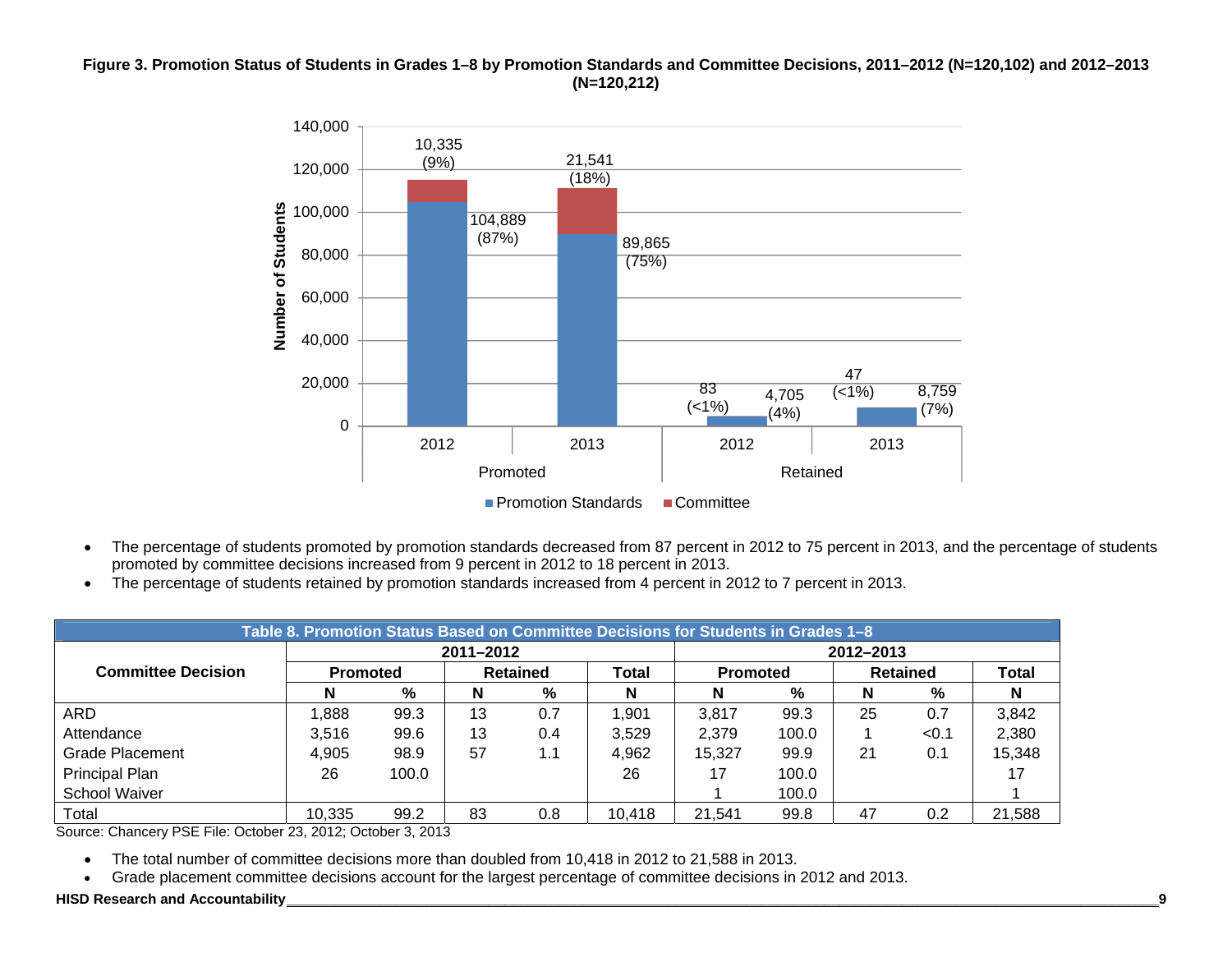#### **Figure 3. Promotion Status of Students in Grades 1–8 by Promotion Standards and Committee Decisions, 2011–2012 (N=120,102) and 2012–2013 (N=120,212)**



- The percentage of students promoted by promotion standards decreased from 87 percent in 2012 to 75 percent in 2013, and the percentage of students promoted by committee decisions increased from 9 percent in 2012 to 18 percent in 2013.
- The percentage of students retained by promotion standards increased from 4 percent in 2012 to 7 percent in 2013.

|                           | Table 8. Promotion Status Based on Committee Decisions for Students in Grades 1-8 |       |                 |     |        |        |                 |           |                 |        |  |  |  |
|---------------------------|-----------------------------------------------------------------------------------|-------|-----------------|-----|--------|--------|-----------------|-----------|-----------------|--------|--|--|--|
|                           |                                                                                   |       | 2011-2012       |     |        |        |                 | 2012-2013 |                 |        |  |  |  |
| <b>Committee Decision</b> | <b>Promoted</b>                                                                   |       | <b>Retained</b> |     | Total  |        | <b>Promoted</b> |           | <b>Retained</b> |        |  |  |  |
|                           | N                                                                                 | %     | N               | %   | N      | N      | %               | N         | %               | N      |  |  |  |
| ARD                       | ,888                                                                              | 99.3  | 13              | 0.7 | 1,901  | 3,817  | 99.3            | 25        | 0.7             | 3,842  |  |  |  |
| Attendance                | 3.516                                                                             | 99.6  | 13              | 0.4 | 3,529  | 2,379  | 100.0           |           | < 0.1           | 2,380  |  |  |  |
| Grade Placement           | 4,905                                                                             | 98.9  | 57              | 1.1 | 4,962  | 15,327 | 99.9            | 21        | 0.1             | 15,348 |  |  |  |
| Principal Plan            | 26                                                                                | 100.0 |                 |     | 26     | 17     | 100.0           |           |                 |        |  |  |  |
| School Waiver             |                                                                                   |       |                 |     |        |        | 100.0           |           |                 |        |  |  |  |
| Total                     | 10,335                                                                            | 99.2  | 83              | 0.8 | 10,418 | 21,541 | 99.8            | 47        | 0.2             | 21,588 |  |  |  |

Source: Chancery PSE File: October 23, 2012; October 3, 2013

The total number of committee decisions more than doubled from 10,418 in 2012 to 21,588 in 2013.

 $\bullet$ Grade placement committee decisions account for the largest percentage of committee decisions in 2012 and 2013.

#### **HISD Research and Accountability \_\_\_\_\_\_\_\_\_\_\_\_\_\_\_\_\_\_\_\_\_\_\_\_\_\_\_\_\_\_\_\_\_\_\_\_\_\_\_\_\_\_\_\_\_\_\_\_\_\_\_\_\_\_\_\_\_\_\_\_\_\_\_\_\_\_\_\_\_\_\_\_\_\_\_\_\_\_\_\_\_\_\_\_\_\_\_\_\_\_\_\_\_\_\_\_\_\_\_\_\_\_\_\_\_\_\_\_\_\_\_\_9**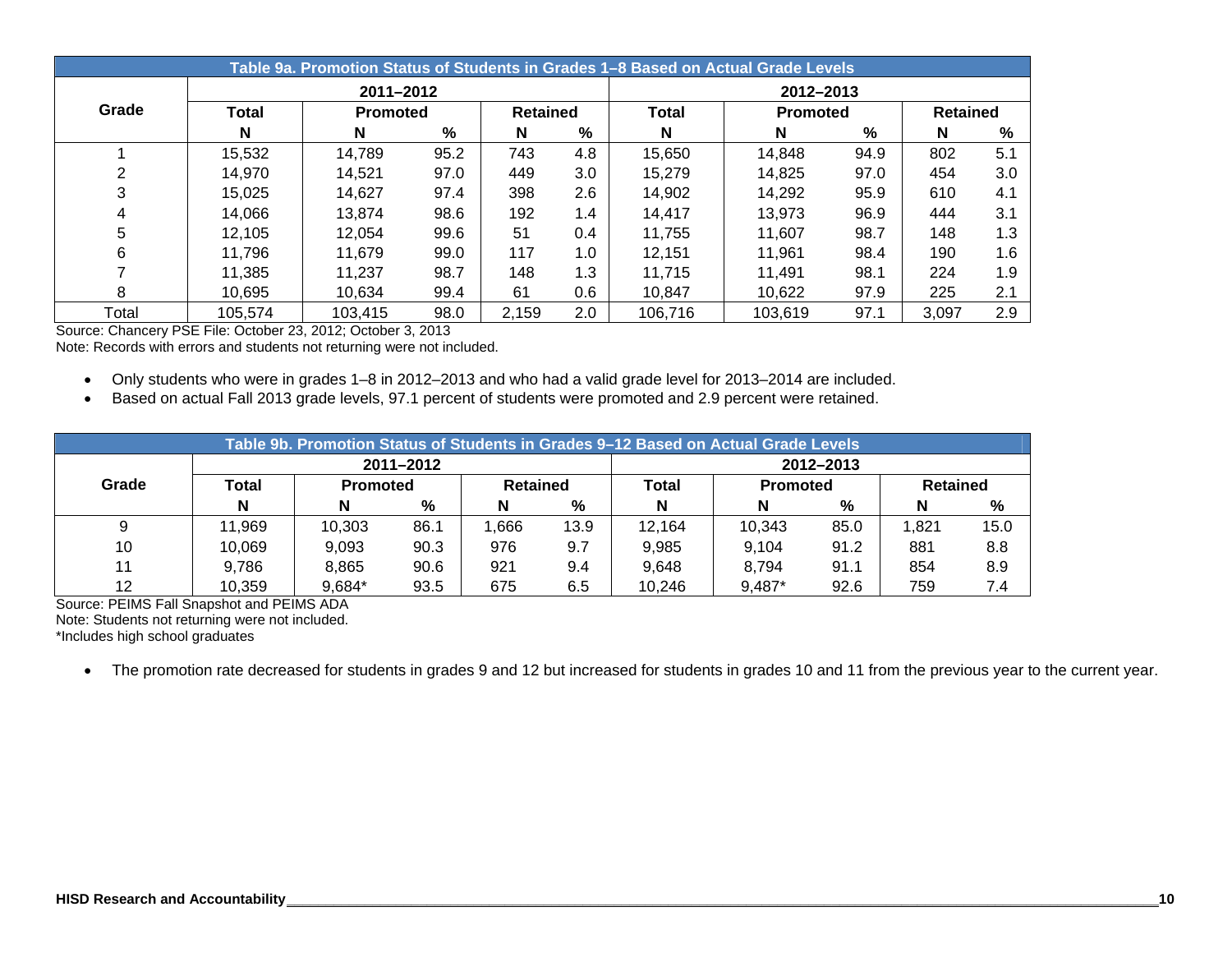|       |                        |                 |      |                 |         | Table 9a. Promotion Status of Students in Grades 1–8 Based on Actual Grade Levels |                 |      |                 |     |  |  |
|-------|------------------------|-----------------|------|-----------------|---------|-----------------------------------------------------------------------------------|-----------------|------|-----------------|-----|--|--|
|       | 2011-2012<br>2012-2013 |                 |      |                 |         |                                                                                   |                 |      |                 |     |  |  |
| Grade | <b>Total</b>           | <b>Promoted</b> |      | <b>Retained</b> |         | <b>Total</b>                                                                      | <b>Promoted</b> |      | <b>Retained</b> |     |  |  |
|       | N                      | N               | %    | N               | %       | N                                                                                 | N               | %    | N               | %   |  |  |
|       | 15,532                 | 14,789          | 95.2 | 743             | 4.8     | 15,650                                                                            | 14,848          | 94.9 | 802             | 5.1 |  |  |
| っ     | 14,970                 | 14.521          | 97.0 | 449             | 3.0     | 15,279                                                                            | 14,825          | 97.0 | 454             | 3.0 |  |  |
| 3     | 15,025                 | 14,627          | 97.4 | 398             | $2.6\,$ | 14,902                                                                            | 14,292          | 95.9 | 610             | 4.1 |  |  |
| 4     | 14,066                 | 13.874          | 98.6 | 192             | 1.4     | 14.417                                                                            | 13.973          | 96.9 | 444             | 3.1 |  |  |
| 5     | 12,105                 | 12,054          | 99.6 | 51              | 0.4     | 11,755                                                                            | 11,607          | 98.7 | 148             | 1.3 |  |  |
| 6     | 11,796                 | 11,679          | 99.0 | 117             | 1.0     | 12,151                                                                            | 11,961          | 98.4 | 190             | 1.6 |  |  |
|       | 11,385                 | 11,237          | 98.7 | 148             | 1.3     | 11,715                                                                            | 11,491          | 98.1 | 224             | 1.9 |  |  |
| 8     | 10.695                 | 10.634          | 99.4 | 61              | 0.6     | 10,847                                                                            | 10,622          | 97.9 | 225             | 2.1 |  |  |
| Total | 105,574                | 103,415         | 98.0 | 2,159           | 2.0     | 106.716                                                                           | 103.619         | 97.1 | 3.097           | 2.9 |  |  |

Source: Chancery PSE File: October 23, 2012; October 3, 2013

Note: Records with errors and students not returning were not included.

- Only students who were in grades 1–8 in 2012–2013 and who had a valid grade level for 2013–2014 are included.
- Based on actual Fall 2013 grade levels, 97.1 percent of students were promoted and 2.9 percent were retained.

|       | Table 9b. Promotion Status of Students in Grades 9-12 Based on Actual Grade Levels |                 |           |                 |      |              |                 |           |                 |      |  |  |  |
|-------|------------------------------------------------------------------------------------|-----------------|-----------|-----------------|------|--------------|-----------------|-----------|-----------------|------|--|--|--|
|       |                                                                                    |                 | 2011-2012 |                 |      |              |                 | 2012-2013 |                 |      |  |  |  |
| Grade | Total                                                                              | <b>Promoted</b> |           | <b>Retained</b> |      | <b>Total</b> | <b>Promoted</b> |           | <b>Retained</b> |      |  |  |  |
|       | N                                                                                  | N               | %         | N               | %    | N            | N               | %         | N               | %    |  |  |  |
| 9     | 11,969                                                                             | 10,303          | 86.1      | .666            | 13.9 | 12,164       | 10,343          | 85.0      | 1,821           | 15.0 |  |  |  |
| 10    | 10,069                                                                             | 9.093           | 90.3      | 976             | 9.7  | 9,985        | 9,104           | 91.2      | 881             | 8.8  |  |  |  |
| 11    | 9,786                                                                              | 8.865           | 90.6      | 921             | 9.4  | 9,648        | 8.794           | 91.1      | 854             | 8.9  |  |  |  |
| 12    | 10.359                                                                             | 9,684*          | 93.5      | 675             | 6.5  | 10,246       | 9,487*          | 92.6      | 759             | 7.4  |  |  |  |

Source: PEIMS Fall Snapshot and PEIMS ADA

Note: Students not returning were not included.

\*Includes high school graduates

• The promotion rate decreased for students in grades 9 and 12 but increased for students in grades 10 and 11 from the previous year to the current year.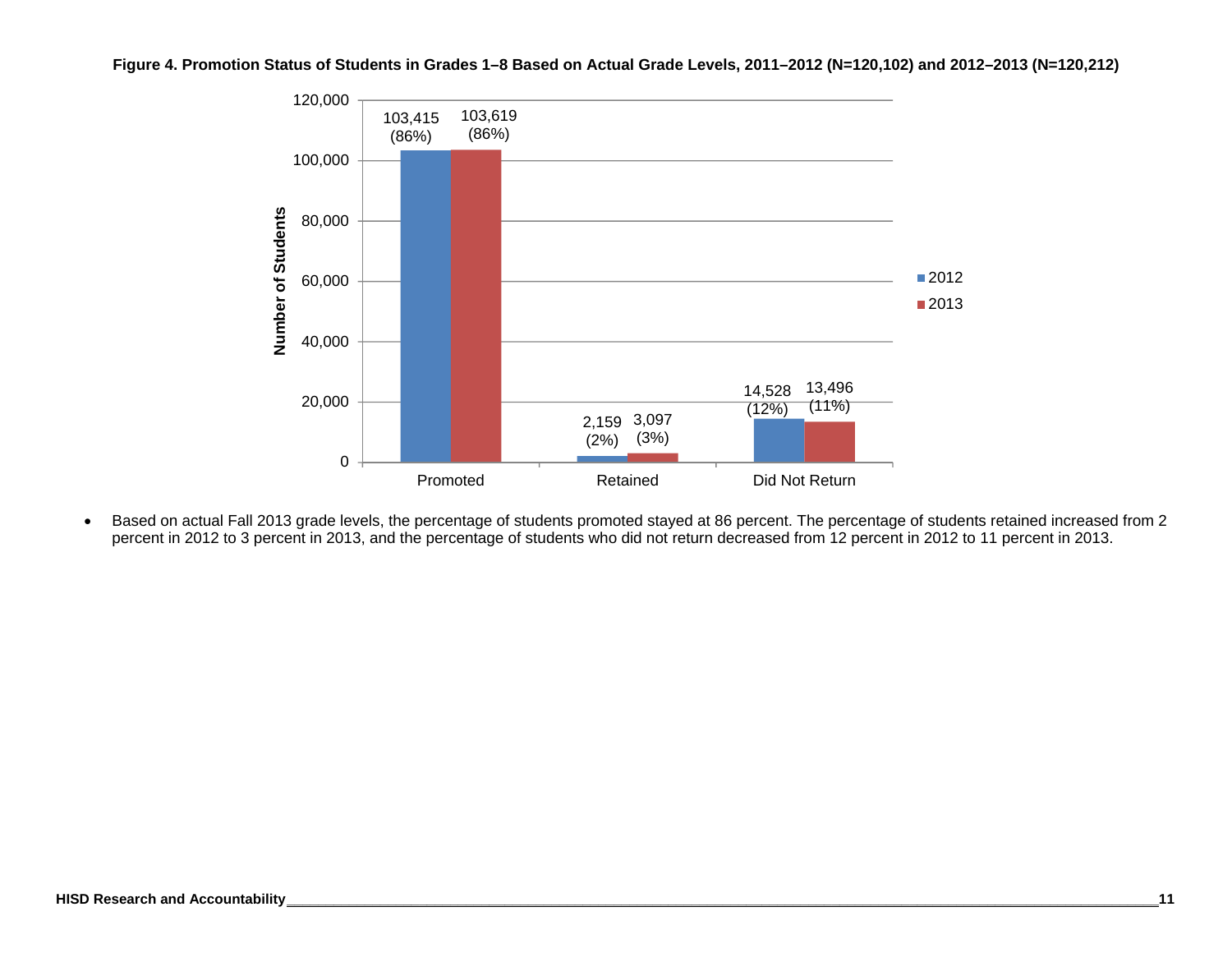



• Based on actual Fall 2013 grade levels, the percentage of students promoted stayed at 86 percent. The percentage of students retained increased from 2 percent in 2012 to 3 percent in 2013, and the percentage of students who did not return decreased from 12 percent in 2012 to 11 percent in 2013.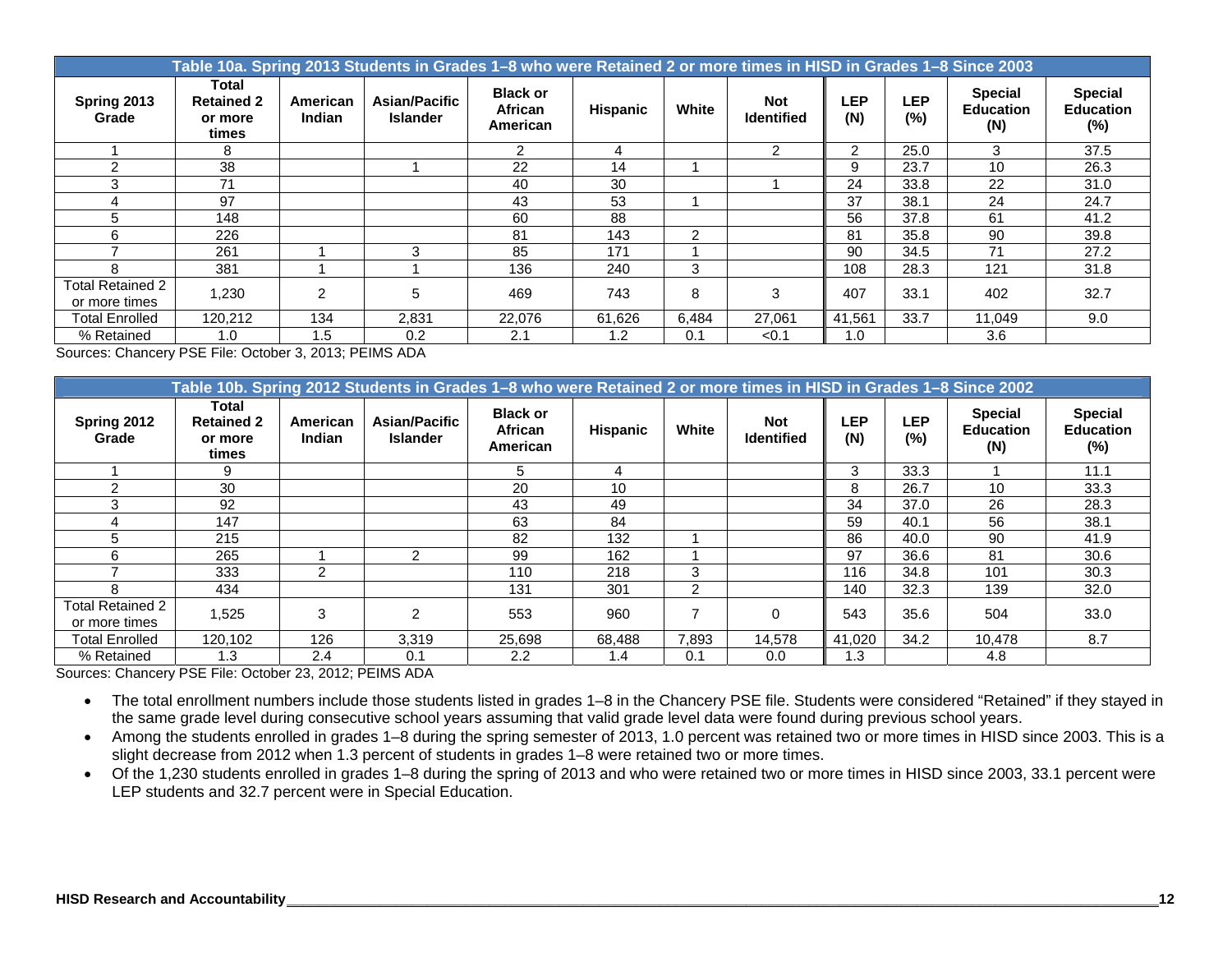|                                          | Table 10a. Spring 2013 Students in Grades 1–8 who were Retained 2 or more times in HISD in Grades 1–8 Since 2003 |                    |                                  |                                        |                 |                |                                 |                |                   |                                           |                                              |  |  |  |
|------------------------------------------|------------------------------------------------------------------------------------------------------------------|--------------------|----------------------------------|----------------------------------------|-----------------|----------------|---------------------------------|----------------|-------------------|-------------------------------------------|----------------------------------------------|--|--|--|
| Spring 2013<br>Grade                     | Total<br><b>Retained 2</b><br>or more<br>times                                                                   | American<br>Indian | Asian/Pacific<br><b>Islander</b> | <b>Black or</b><br>African<br>American | <b>Hispanic</b> | White          | <b>Not</b><br><b>Identified</b> | LEP<br>(N)     | <b>LEP</b><br>(%) | <b>Special</b><br><b>Education</b><br>(N) | <b>Special</b><br><b>Education</b><br>$(\%)$ |  |  |  |
|                                          | 8                                                                                                                |                    |                                  | $\mathcal{P}$                          | 4               |                | $\mathcal{P}$                   | $\overline{2}$ | 25.0              | 3                                         | 37.5                                         |  |  |  |
|                                          | 38                                                                                                               |                    |                                  | 22                                     | 14              |                |                                 | 9              | 23.7              | 10                                        | 26.3                                         |  |  |  |
| 3                                        | 71                                                                                                               |                    |                                  | 40                                     | 30              |                |                                 | 24             | 33.8              | 22                                        | 31.0                                         |  |  |  |
|                                          | 97                                                                                                               |                    |                                  | 43                                     | 53              |                |                                 | 37             | 38.1              | 24                                        | 24.7                                         |  |  |  |
| 5                                        | 148                                                                                                              |                    |                                  | 60                                     | 88              |                |                                 | 56             | 37.8              | 61                                        | 41.2                                         |  |  |  |
| 6                                        | 226                                                                                                              |                    |                                  | 81                                     | 143             | $\mathfrak{p}$ |                                 | 81             | 35.8              | 90                                        | 39.8                                         |  |  |  |
|                                          | 261                                                                                                              |                    | 3                                | 85                                     | 171             |                |                                 | 90             | 34.5              | 71                                        | 27.2                                         |  |  |  |
| 8                                        | 381                                                                                                              |                    |                                  | 136                                    | 240             | 3              |                                 | 108            | 28.3              | 121                                       | 31.8                                         |  |  |  |
| <b>Total Retained 2</b><br>or more times | 1,230                                                                                                            | 2                  | 5                                | 469                                    | 743             | 8              | 3                               | 407            | 33.1              | 402                                       | 32.7                                         |  |  |  |
| <b>Total Enrolled</b>                    | 120,212                                                                                                          | 134                | 2,831                            | 22,076                                 | 61,626          | 6,484          | 27,061                          | 41,561         | 33.7              | 11,049                                    | 9.0                                          |  |  |  |
| % Retained                               | 1.0                                                                                                              | 1.5                | 0.2                              | 2.1                                    | 1.2             | 0.1            | < 0.1                           | 1.0            |                   | 3.6                                       |                                              |  |  |  |

Sources: Chancery PSE File: October 3, 2013; PEIMS ADA

|                                   | Table 10b. Spring 2012 Students in Grades 1–8 who were Retained 2 or more times in HISD in Grades 1–8 Since 2002 |                    |                                         |                                               |                 |       |                                 |            |                      |                                           |                                              |  |  |  |
|-----------------------------------|------------------------------------------------------------------------------------------------------------------|--------------------|-----------------------------------------|-----------------------------------------------|-----------------|-------|---------------------------------|------------|----------------------|-------------------------------------------|----------------------------------------------|--|--|--|
| Spring 2012<br>Grade              | Total<br><b>Retained 2</b><br>or more<br>times                                                                   | American<br>Indian | <b>Asian/Pacific</b><br><b>Islander</b> | <b>Black or</b><br><b>African</b><br>American | <b>Hispanic</b> | White | <b>Not</b><br><b>Identified</b> | LEP<br>(N) | <b>LEP</b><br>$(\%)$ | <b>Special</b><br><b>Education</b><br>(N) | <b>Special</b><br><b>Education</b><br>$(\%)$ |  |  |  |
|                                   |                                                                                                                  |                    |                                         | 5.                                            | 4               |       |                                 | 3          | 33.3                 |                                           | 11.1                                         |  |  |  |
| 2                                 | 30                                                                                                               |                    |                                         | 20                                            | 10              |       |                                 | 8          | 26.7                 | 10                                        | 33.3                                         |  |  |  |
| 3                                 | 92                                                                                                               |                    |                                         | 43                                            | 49              |       |                                 | 34         | 37.0                 | 26                                        | 28.3                                         |  |  |  |
|                                   | 147                                                                                                              |                    |                                         | 63                                            | 84              |       |                                 | 59         | 40.1                 | 56                                        | 38.1                                         |  |  |  |
| 5.                                | 215                                                                                                              |                    |                                         | 82                                            | 132             |       |                                 | 86         | 40.0                 | 90                                        | 41.9                                         |  |  |  |
| 6                                 | 265                                                                                                              |                    | 2                                       | 99                                            | 162             |       |                                 | 97         | 36.6                 | 81                                        | 30.6                                         |  |  |  |
|                                   | 333                                                                                                              | 2                  |                                         | 110                                           | 218             | 3     |                                 | 116        | 34.8                 | 101                                       | 30.3                                         |  |  |  |
| 8                                 | 434                                                                                                              |                    |                                         | 131                                           | 301             | 2     |                                 | 140        | 32.3                 | 139                                       | 32.0                                         |  |  |  |
| Total Retained 2<br>or more times | 1,525                                                                                                            | 3                  | $\overline{2}$                          | 553                                           | 960             |       | 0                               | 543        | 35.6                 | 504                                       | 33.0                                         |  |  |  |
| <b>Total Enrolled</b>             | 120.102                                                                                                          | 126                | 3,319                                   | 25,698                                        | 68,488          | 7,893 | 14,578                          | 41,020     | 34.2                 | 10,478                                    | 8.7                                          |  |  |  |
| % Retained                        | 1.3                                                                                                              | 2.4                | 0.1                                     | 2.2                                           | 1.4             | 0.1   | 0.0                             | 1.3        |                      | 4.8                                       |                                              |  |  |  |

Sources: Chancery PSE File: October 23, 2012; PEIMS ADA

- The total enrollment numbers include those students listed in grades 1–8 in the Chancery PSE file. Students were considered "Retained" if they stayed in the same grade level during consecutive school years assuming that valid grade level data were found during previous school years.
- Among the students enrolled in grades 1–8 during the spring semester of 2013, 1.0 percent was retained two or more times in HISD since 2003. This is a slight decrease from 2012 when 1.3 percent of students in grades 1–8 were retained two or more times.
- Of the 1,230 students enrolled in grades 1–8 during the spring of 2013 and who were retained two or more times in HISD since 2003, 33.1 percent were LEP students and 32.7 percent were in Special Education.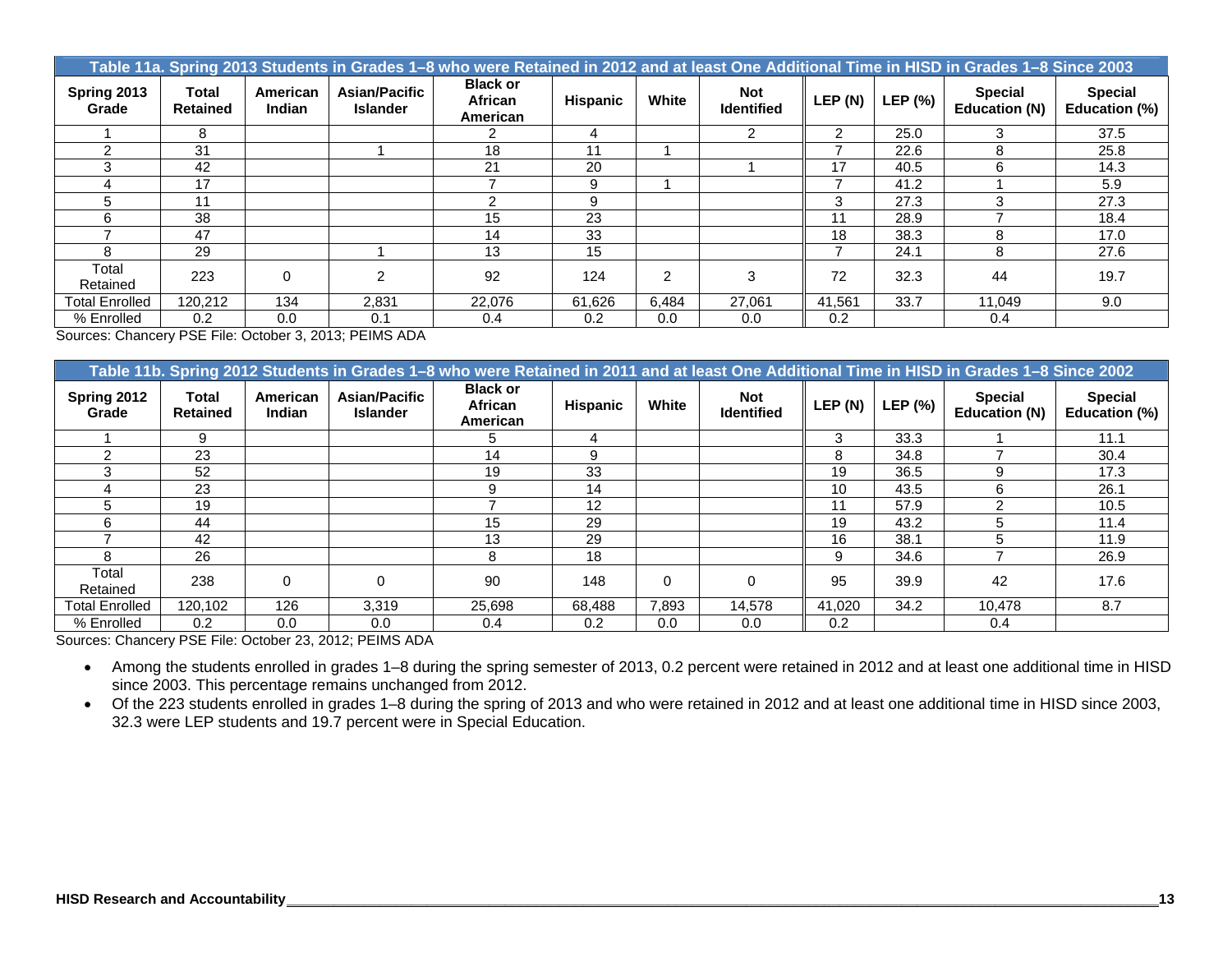|                      | Table 11a. Spring 2013 Students in Grades 1–8 who were Retained in 2012 and at least One Additional Time in HISD in Grades 1–8 Since 2003 |                           |                                         |                                        |                 |                |                                 |         |         |                                 |                                 |  |  |  |
|----------------------|-------------------------------------------------------------------------------------------------------------------------------------------|---------------------------|-----------------------------------------|----------------------------------------|-----------------|----------------|---------------------------------|---------|---------|---------------------------------|---------------------------------|--|--|--|
| Spring 2013<br>Grade | <b>Total</b><br><b>Retained</b>                                                                                                           | American<br><b>Indian</b> | <b>Asian/Pacific</b><br><b>Islander</b> | <b>Black or</b><br>African<br>American | <b>Hispanic</b> | White          | <b>Not</b><br><b>Identified</b> | LEP (N) | LEP (%) | <b>Special</b><br>Education (N) | <b>Special</b><br>Education (%) |  |  |  |
|                      | 8                                                                                                                                         |                           |                                         |                                        | 4               |                | 2                               | 2       | 25.0    |                                 | 37.5                            |  |  |  |
|                      | 31                                                                                                                                        |                           |                                         | 18                                     | 11              |                |                                 |         | 22.6    | 8                               | 25.8                            |  |  |  |
|                      | 42                                                                                                                                        |                           |                                         | 21                                     | 20              |                |                                 | 17      | 40.5    | 6                               | 14.3                            |  |  |  |
|                      | 17                                                                                                                                        |                           |                                         |                                        | 9               |                |                                 |         | 41.2    |                                 | 5.9                             |  |  |  |
| 5                    | 11                                                                                                                                        |                           |                                         |                                        | 9               |                |                                 | 3       | 27.3    |                                 | 27.3                            |  |  |  |
|                      | 38                                                                                                                                        |                           |                                         | 15                                     | 23              |                |                                 | 11      | 28.9    |                                 | 18.4                            |  |  |  |
|                      | 47                                                                                                                                        |                           |                                         | 14                                     | 33              |                |                                 | 18      | 38.3    | 8                               | 17.0                            |  |  |  |
| я                    | 29                                                                                                                                        |                           |                                         | 13                                     | 15              |                |                                 |         | 24.1    | 8                               | 27.6                            |  |  |  |
| Total<br>Retained    | 223                                                                                                                                       | $\Omega$                  |                                         | 92                                     | 124             | $\overline{2}$ | 3                               | 72      | 32.3    | 44                              | 19.7                            |  |  |  |
| Total Enrolled       | 120.212                                                                                                                                   | 134                       | 2,831                                   | 22.076                                 | 61.626          | 6,484          | 27,061                          | 41,561  | 33.7    | 11,049                          | 9.0                             |  |  |  |
| % Enrolled           | 0.2                                                                                                                                       | 0.0                       | 0.1                                     | 0.4                                    | 0.2             | 0.0            | 0.0                             | 0.2     |         | 0.4                             |                                 |  |  |  |

Sources: Chancery PSE File: October 3, 2013; PEIMS ADA

|                       | Table 11b. Spring 2012 Students in Grades 1–8 who were Retained in 2011 and at least One Additional Time in HISD in Grades 1–8 Since 2002 |                           |                                  |                                        |                 |          |                                 |         |         |                                        |                                 |  |  |
|-----------------------|-------------------------------------------------------------------------------------------------------------------------------------------|---------------------------|----------------------------------|----------------------------------------|-----------------|----------|---------------------------------|---------|---------|----------------------------------------|---------------------------------|--|--|
| Spring 2012<br>Grade  | Total<br><b>Retained</b>                                                                                                                  | American<br><b>Indian</b> | Asian/Pacific<br><b>Islander</b> | <b>Black or</b><br>African<br>American | <b>Hispanic</b> | White    | <b>Not</b><br><b>Identified</b> | LEP (N) | LEP (%) | <b>Special</b><br><b>Education (N)</b> | <b>Special</b><br>Education (%) |  |  |
|                       | 9                                                                                                                                         |                           |                                  |                                        |                 |          |                                 | 3       | 33.3    |                                        | 11.1                            |  |  |
|                       | 23                                                                                                                                        |                           |                                  | 14                                     | 9               |          |                                 | 8       | 34.8    |                                        | 30.4                            |  |  |
|                       | 52                                                                                                                                        |                           |                                  | 19                                     | 33              |          |                                 | 19      | 36.5    |                                        | 17.3                            |  |  |
|                       | 23                                                                                                                                        |                           |                                  |                                        | 14              |          |                                 | 10      | 43.5    |                                        | 26.1                            |  |  |
|                       | 19                                                                                                                                        |                           |                                  |                                        | 12              |          |                                 | 11      | 57.9    |                                        | 10.5                            |  |  |
| ี                     | 44                                                                                                                                        |                           |                                  | 15                                     | 29              |          |                                 | 19      | 43.2    | ħ                                      | 11.4                            |  |  |
|                       | 42                                                                                                                                        |                           |                                  | 13                                     | 29              |          |                                 | 16      | 38.1    |                                        | 11.9                            |  |  |
|                       | 26                                                                                                                                        |                           |                                  | 8                                      | 18              |          |                                 | 9       | 34.6    |                                        | 26.9                            |  |  |
| Total<br>Retained     | 238                                                                                                                                       | $\Omega$                  |                                  | 90                                     | 148             | $\Omega$ | $\Omega$                        | 95      | 39.9    | 42                                     | 17.6                            |  |  |
| <b>Total Enrolled</b> | 120.102                                                                                                                                   | 126                       | 3,319                            | 25,698                                 | 68,488          | 7.893    | 14.578                          | 41,020  | 34.2    | 10,478                                 | 8.7                             |  |  |
| % Enrolled            | 0.2                                                                                                                                       | 0.0                       | 0.0                              | 0.4                                    | 0.2             | 0.0      | 0.0                             | 0.2     |         | 0.4                                    |                                 |  |  |

Sources: Chancery PSE File: October 23, 2012; PEIMS ADA

 Among the students enrolled in grades 1–8 during the spring semester of 2013, 0.2 percent were retained in 2012 and at least one additional time in HISD since 2003. This percentage remains unchanged from 2012.

 Of the 223 students enrolled in grades 1–8 during the spring of 2013 and who were retained in 2012 and at least one additional time in HISD since 2003, 32.3 were LEP students and 19.7 percent were in Special Education.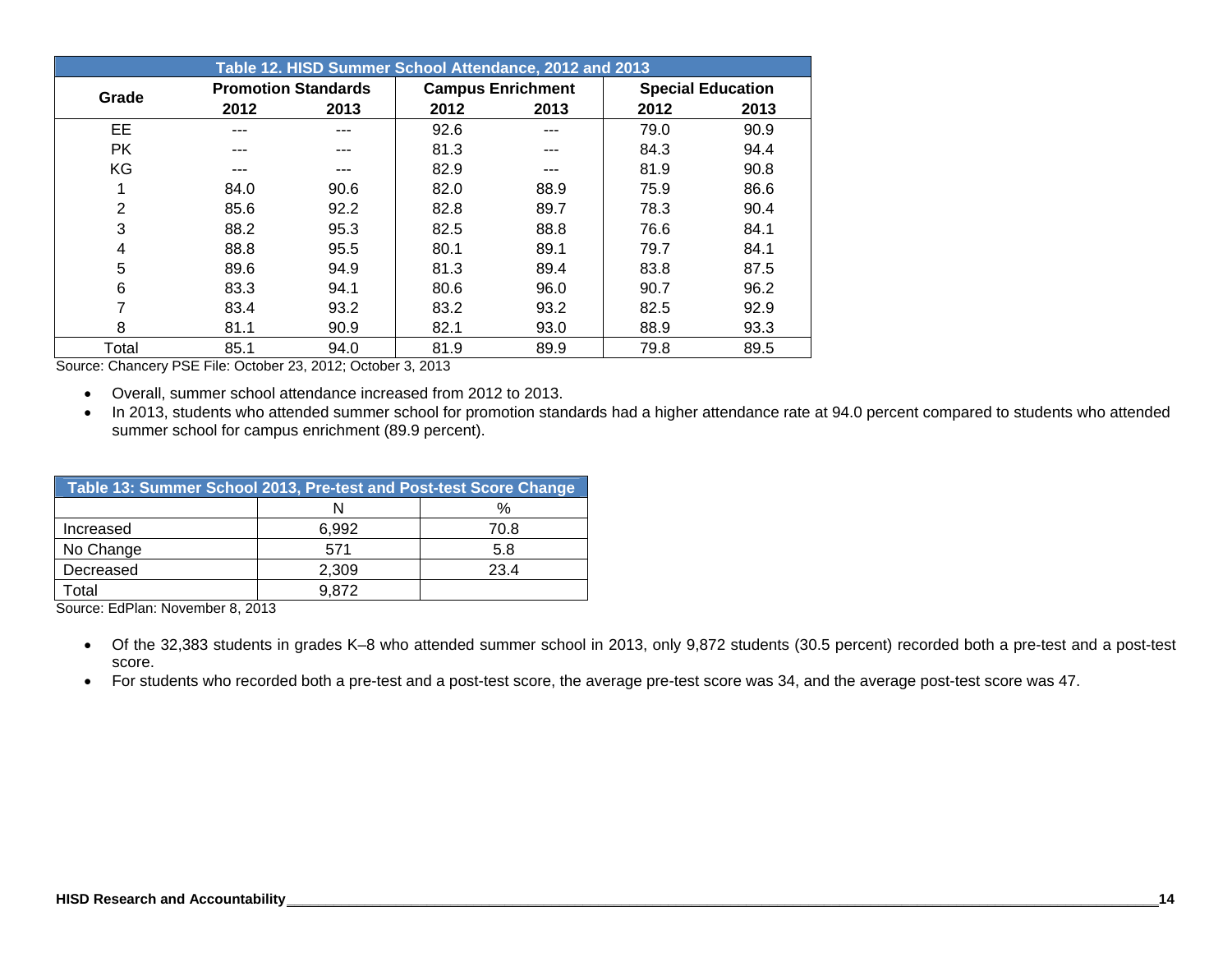|                |      |                            |      | Table 12. HISD Summer School Attendance, 2012 and 2013 |      |                          |
|----------------|------|----------------------------|------|--------------------------------------------------------|------|--------------------------|
| Grade          |      | <b>Promotion Standards</b> |      | <b>Campus Enrichment</b>                               |      | <b>Special Education</b> |
|                | 2012 | 2013                       | 2012 | 2013                                                   | 2012 | 2013                     |
| EE             | ---  |                            | 92.6 | ---                                                    | 79.0 | 90.9                     |
| <b>PK</b>      | ---  |                            | 81.3 |                                                        | 84.3 | 94.4                     |
| KG             | ---  |                            | 82.9 |                                                        | 81.9 | 90.8                     |
| 1              | 84.0 | 90.6                       | 82.0 | 88.9                                                   | 75.9 | 86.6                     |
| $\overline{2}$ | 85.6 | 92.2                       | 82.8 | 89.7                                                   | 78.3 | 90.4                     |
| 3              | 88.2 | 95.3                       | 82.5 | 88.8                                                   | 76.6 | 84.1                     |
| 4              | 88.8 | 95.5                       | 80.1 | 89.1                                                   | 79.7 | 84.1                     |
| 5              | 89.6 | 94.9                       | 81.3 | 89.4                                                   | 83.8 | 87.5                     |
| 6              | 83.3 | 94.1                       | 80.6 | 96.0                                                   | 90.7 | 96.2                     |
| 7              | 83.4 | 93.2                       | 83.2 | 93.2                                                   | 82.5 | 92.9                     |
| 8              | 81.1 | 90.9                       | 82.1 | 93.0                                                   | 88.9 | 93.3                     |
| Total          | 85.1 | 94.0                       | 81.9 | 89.9                                                   | 79.8 | 89.5                     |

Source: Chancery PSE File: October 23, 2012; October 3, 2013

- Overall, summer school attendance increased from 2012 to 2013.
- In 2013, students who attended summer school for promotion standards had a higher attendance rate at 94.0 percent compared to students who attended summer school for campus enrichment (89.9 percent).

| Table 13: Summer School 2013, Pre-test and Post-test Score Change |       |      |
|-------------------------------------------------------------------|-------|------|
|                                                                   |       | $\%$ |
| Increased                                                         | 6,992 | 70.8 |
| No Change                                                         | 571   | 5.8  |
| Decreased                                                         | 2,309 | 23.4 |
| -otal                                                             | 9.872 |      |

Source: EdPlan: November 8, 2013

- Of the 32,383 students in grades K–8 who attended summer school in 2013, only 9,872 students (30.5 percent) recorded both a pre-test and a post-test score.
- For students who recorded both a pre-test and a post-test score, the average pre-test score was 34, and the average post-test score was 47.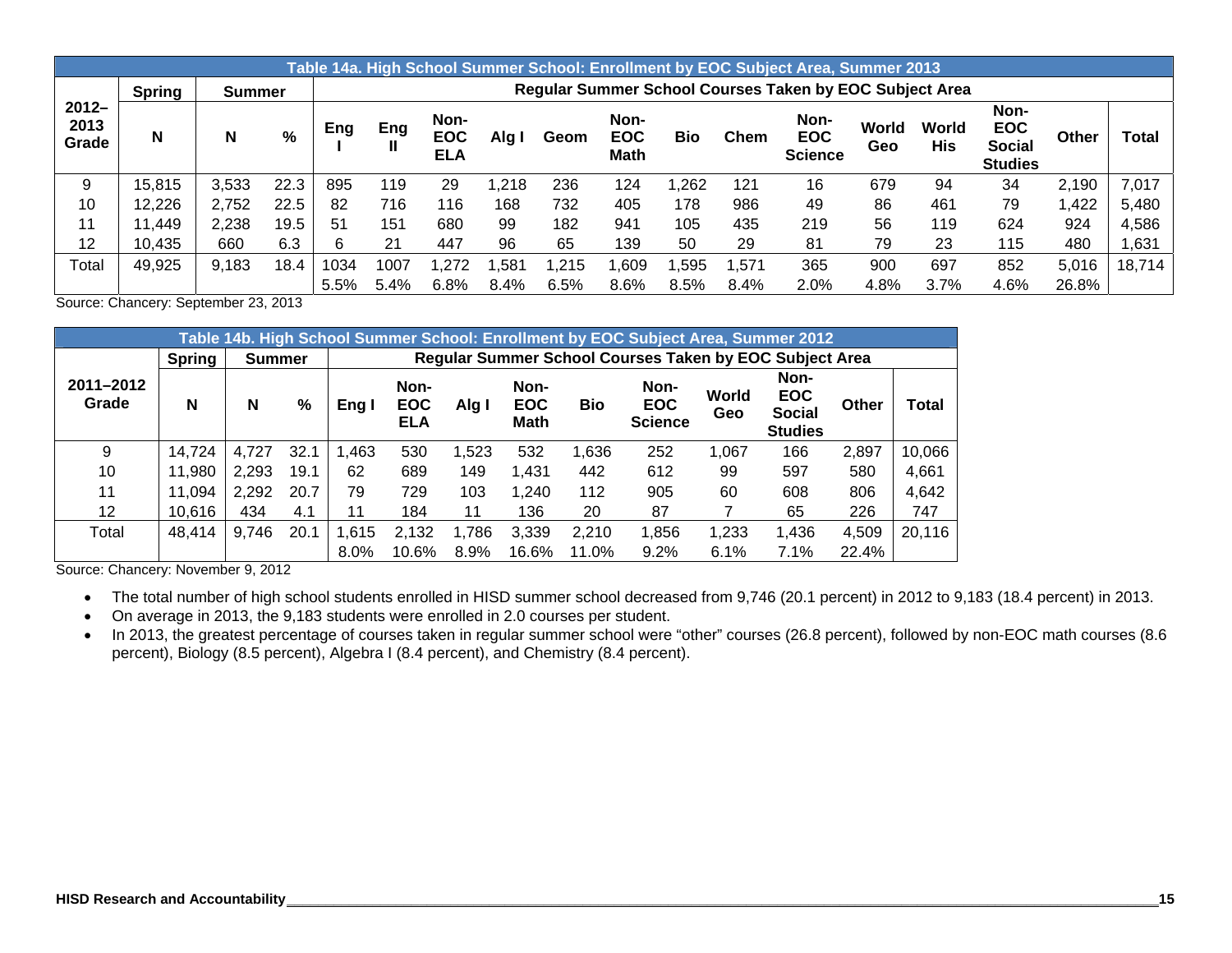|                           |               |               |      |      |      |                                  |       |      |                                   |      |       | Table 14a. High School Summer School: Enrollment by EOC Subject Area, Summer 2013 |              |              |                                                       |       |              |
|---------------------------|---------------|---------------|------|------|------|----------------------------------|-------|------|-----------------------------------|------|-------|-----------------------------------------------------------------------------------|--------------|--------------|-------------------------------------------------------|-------|--------------|
|                           | <b>Spring</b> | <b>Summer</b> |      |      |      |                                  |       |      |                                   |      |       | <b>Regular Summer School Courses Taken by EOC Subject Area</b>                    |              |              |                                                       |       |              |
| $2012 -$<br>2013<br>Grade | N             | N             | %    | Eng  | Eng  | Non-<br><b>EOC</b><br><b>ELA</b> | Alg I | Geom | Non-<br><b>EOC</b><br><b>Math</b> | Bio  | Chem  | Non-<br><b>EOC</b><br><b>Science</b>                                              | World<br>Geo | World<br>His | Non-<br><b>EOC</b><br><b>Social</b><br><b>Studies</b> | Other | <b>Total</b> |
| 9                         | 15,815        | 3,533         | 22.3 | 895  | 119  | 29                               | .218  | 236  | 124                               | .262 | 121   | 16                                                                                | 679          | 94           | 34                                                    | 2,190 | 7,017        |
| 10                        | 12,226        | 2,752         | 22.5 | 82   | 716  | 116                              | 168   | 732  | 405                               | 178  | 986   | 49                                                                                | 86           | 461          | 79                                                    | ,422  | 5,480        |
| 11                        | 11,449        | 2,238         | 19.5 | 51   | 151  | 680                              | 99    | 182  | 941                               | 105  | 435   | 219                                                                               | 56           | 119          | 624                                                   | 924   | 4,586        |
| 12                        | 10,435        | 660           | 6.3  | 6.   | 21   | 447                              | 96    | 65   | 139                               | 50   | 29    | 81                                                                                | 79           | 23           | 115                                                   | 480   | ,631         |
| Total                     | 49,925        | 9,183         | 18.4 | 1034 | 1007 | ,272                             | ,581  | .215 | .609                              | ,595 | 1,571 | 365                                                                               | 900          | 697          | 852                                                   | 5,016 | 18,714       |
|                           |               |               |      | 5.5% | 5.4% | 6.8%                             | 8.4%  | 6.5% | 8.6%                              | 8.5% | 8.4%  | 2.0%                                                                              | 4.8%         | 3.7%         | 4.6%                                                  | 26.8% |              |

Source: Chancery: September 23, 2013

|                    |        |               |      |         |                                  |       |                                   |            | Table 14b. High School Summer School: Enrollment by EOC Subject Area, Summer 2012 |              |                                                       |              |        |
|--------------------|--------|---------------|------|---------|----------------------------------|-------|-----------------------------------|------------|-----------------------------------------------------------------------------------|--------------|-------------------------------------------------------|--------------|--------|
|                    | Spring | <b>Summer</b> |      |         |                                  |       |                                   |            | Regular Summer School Courses Taken by EOC Subject Area                           |              |                                                       |              |        |
| 2011-2012<br>Grade | N      | N             | %    | Eng I   | Non-<br><b>EOC</b><br><b>ELA</b> | Alg I | Non-<br><b>EOC</b><br><b>Math</b> | <b>Bio</b> | Non-<br><b>EOC</b><br><b>Science</b>                                              | World<br>Geo | Non-<br><b>EOC</b><br><b>Social</b><br><b>Studies</b> | <b>Other</b> | Total  |
| 9                  | 14,724 | 4,727         | 32.1 | 1,463   | 530                              | 1,523 | 532                               | 1,636      | 252                                                                               | 1,067        | 166                                                   | 2,897        | 10,066 |
| 10                 | 11,980 | 2,293         | 19.1 | 62      | 689                              | 149   | 1,431                             | 442        | 612                                                                               | 99           | 597                                                   | 580          | 4,661  |
| 11                 | 11,094 | 2,292         | 20.7 | 79      | 729                              | 103   | 1,240                             | 112        | 905                                                                               | 60           | 608                                                   | 806          | 4,642  |
| 12                 | 10,616 | 434           | 4.1  | 11      | 184                              | 11    | 136                               | 20         | 87                                                                                |              | 65                                                    | 226          | 747    |
| Total              | 48,414 | 9,746         | 20.1 | 1,615   | 2,132                            | 1,786 | 3,339                             | 2,210      | 1,856                                                                             | 1,233        | 1,436                                                 | 4,509        | 20,116 |
|                    |        |               |      | $8.0\%$ | 10.6%                            | 8.9%  | 16.6%                             | 11.0%      | 9.2%                                                                              | 6.1%         | 7.1%                                                  | 22.4%        |        |

Source: Chancery: November 9, 2012

- The total number of high school students enrolled in HISD summer school decreased from 9,746 (20.1 percent) in 2012 to 9,183 (18.4 percent) in 2013.
- On average in 2013, the 9,183 students were enrolled in 2.0 courses per student.
- In 2013, the greatest percentage of courses taken in regular summer school were "other" courses (26.8 percent), followed by non-EOC math courses (8.6 percent), Biology (8.5 percent), Algebra I (8.4 percent), and Chemistry (8.4 percent).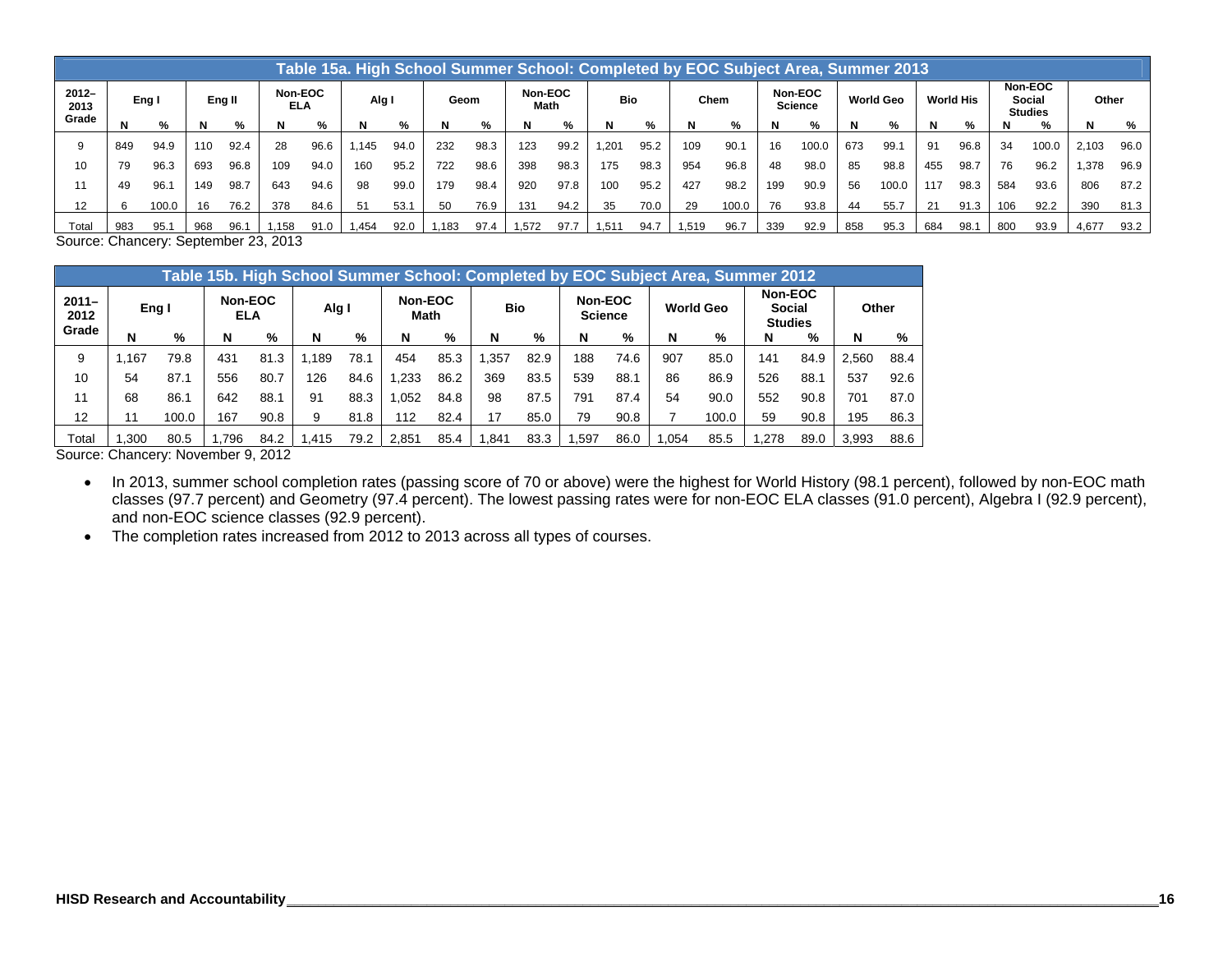|                  | Table 15a. High School Summer School: Completed by EOC Subject Area, Summer 2013 |       |        |      |                |      |       |      |                         |      |       |            |       |      |      |                           |     |                  |     |                  |     |                                     |     |       |       |      |
|------------------|----------------------------------------------------------------------------------|-------|--------|------|----------------|------|-------|------|-------------------------|------|-------|------------|-------|------|------|---------------------------|-----|------------------|-----|------------------|-----|-------------------------------------|-----|-------|-------|------|
| $2012 -$<br>2013 | Eng I                                                                            |       | Eng II |      | Non-EOC<br>ELA |      | Alg I |      | Non-EOC<br>Geom<br>Math |      |       | <b>Bio</b> |       | Chem |      | Non-EOC<br><b>Science</b> |     | <b>World Geo</b> |     | <b>World His</b> |     | Non-EOC<br>Social<br><b>Studies</b> |     | Other |       |      |
| Grade            |                                                                                  | %     |        | %    | N              | %    | N     | %    | N                       | %    | N     | %          | N     | %    |      | %                         | N   | %                |     | %                | N   | %                                   | N   | %     | N     | %    |
| 9                | 849                                                                              | 94.9  | 110    | 92.4 | 28             | 96.6 | .145  | 94.0 | 232                     | 98.3 | 123   | 99.2       | 1.201 | 95.2 | 109  | 90.                       | 16  | 100.0            | 673 | 99.7             | 91  | 96.8                                | 34  | 100.0 | 2,103 | 96.0 |
| 10               | 79                                                                               | 96.3  | 693    | 96.8 | 109            | 94.0 | 160   | 95.2 | 722                     | 98.6 | 398   | 98.3       | 175   | 98.3 | 954  | 96.8                      | 48  | 98.0             | 85  | 98.8             | 455 | 98.7                                | 76  | 96.2  | 1,378 | 96.9 |
|                  | 49                                                                               | 96.   | 149    | 98.7 | 643            | 94.6 | 98    | 99.0 | 179                     | 98.4 | 920   | 97.8       | 100   | 95.2 | 427  | 98.2                      | 199 | 90.9             | 56  | 100.0            | 117 | 98.3                                | 584 | 93.6  | 806   | 87.2 |
| 12               |                                                                                  | 100.0 | 16     | 76.2 | 378            | 84.6 | 51    | 53.1 | 50                      | 76.9 | 131   | 94.2       | 35    | 70.0 | 29   | 100.0                     | 76  | 93.8             | 44  | 55.7             | 21  | 91.3                                | 106 | 92.2  | 390   | 81.3 |
| Total            | 983                                                                              | 95.1  | 968    | 96.1 | 1.158          | 91.0 | .454  | 92.0 | 1.183                   | 97.4 | 1.572 | 97.7       | 1.511 | 94.7 | .519 | 96.7                      | 339 | 92.9             | 858 | 95.3             | 684 | 98.7                                | 800 | 93.9  | 4.677 | 93.2 |

Source: Chancery: September 23, 2013

|                           | Table 15b. High School Summer School: Completed by EOC Subject Area, Summer 2012 |                              |                |                  |       |      |                 |      |            |      |                           |      |                  |       |                                            |      |       |      |
|---------------------------|----------------------------------------------------------------------------------|------------------------------|----------------|------------------|-------|------|-----------------|------|------------|------|---------------------------|------|------------------|-------|--------------------------------------------|------|-------|------|
| $2011 -$<br>2012<br>Grade | Eng I                                                                            |                              | Non-EOC<br>ELA |                  | Alg I |      | Non-EOC<br>Math |      | <b>Bio</b> |      | Non-EOC<br><b>Science</b> |      | <b>World Geo</b> |       | Non-EOC<br><b>Social</b><br><b>Studies</b> |      | Other |      |
|                           | N                                                                                | %                            | N              | %                | N     | %    | N               | %    | N          | %    | N                         | %    | N                | %     | N                                          | $\%$ | N     | %    |
| 9                         | .167                                                                             | 79.8                         | 431            | 81.3             | .189  | 78.1 | 454             | 85.3 | .357       | 82.9 | 188                       | 74.6 | 907              | 85.0  | 141                                        | 84.9 | 2.560 | 88.4 |
| 10                        | 54                                                                               | 87.1                         | 556            | 80.7             | 126   | 84.6 | .233            | 86.2 | 369        | 83.5 | 539                       | 88.1 | 86               | 86.9  | 526                                        | 88.1 | 537   | 92.6 |
| 11                        | 68                                                                               | 86.1                         | 642            | 88.1             | 91    | 88.3 | .052            | 84.8 | 98         | 87.5 | 791                       | 87.4 | 54               | 90.0  | 552                                        | 90.8 | 701   | 87.0 |
| 12                        | 11                                                                               | 100.0                        | 167            | 90.8             | 9     | 81.8 | 112             | 82.4 | 17         | 85.0 | 79                        | 90.8 |                  | 100.0 | 59                                         | 90.8 | 195   | 86.3 |
| Total                     | .300<br>$\sim$                                                                   | 80.5<br>$\ddot{\phantom{1}}$ | .796           | 84.2<br>- -- - - | .415  | 79.2 | 2.851           | 85.4 | .841       | 83.3 | .597                      | 86.0 | .054             | 85.5  | .278                                       | 89.0 | 3.993 | 88.6 |

Source: Chancery: November 9, 2012

 In 2013, summer school completion rates (passing score of 70 or above) were the highest for World History (98.1 percent), followed by non-EOC math classes (97.7 percent) and Geometry (97.4 percent). The lowest passing rates were for non-EOC ELA classes (91.0 percent), Algebra I (92.9 percent), and non-EOC science classes (92.9 percent).

• The completion rates increased from 2012 to 2013 across all types of courses.